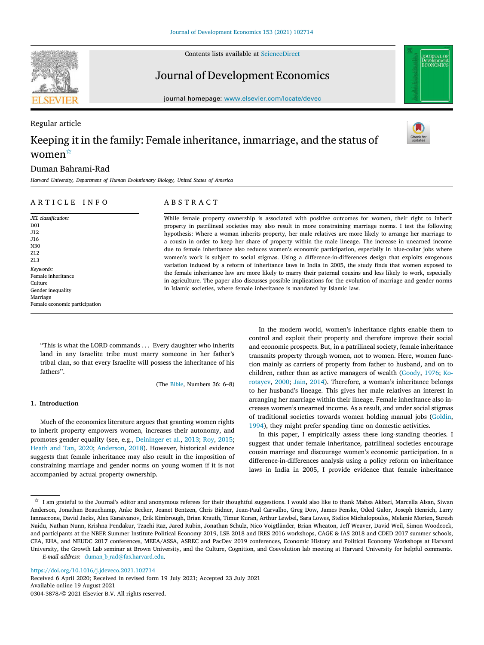Contents lists available at [ScienceDirect](http://www.elsevier.com/locate/devec)



# Journal of Development Economics

journal homepage: [www.elsevier.com/locate/devec](http://www.elsevier.com/locate/devec)

# Regular article Keeping it in the family: Female inheritance, inmarriage, and the status of women<sup>☆</sup>

# Duman Bahrami-Rad

*Harvard University, Department of Human Evolutionary Biology, United States of America*

# ARTICLE INFO

Female economic participation

*JEL classification:*

D01 J12 J16 N30 Z12 Z13 *Keywords:* Female inheritance Culture Gender inequality Marriage

# A B S T R A C T

While female property ownership is associated with positive outcomes for women, their right to inherit property in patrilineal societies may also result in more constraining marriage norms. I test the following hypothesis: Where a woman inherits property, her male relatives are more likely to arrange her marriage to a cousin in order to keep her share of property within the male lineage. The increase in unearned income due to female inheritance also reduces women's economic participation, especially in blue-collar jobs where women's work is subject to social stigmas. Using a difference-in-differences design that exploits exogenous variation induced by a reform of inheritance laws in India in 2005, the study finds that women exposed to the female inheritance law are more likely to marry their paternal cousins and less likely to work, especially in agriculture. The paper also discusses possible implications for the evolution of marriage and gender norms in Islamic societies, where female inheritance is mandated by Islamic law.

''This is what the LORD commands . . . Every daughter who inherits land in any Israelite tribe must marry someone in her father's tribal clan, so that every Israelite will possess the inheritance of his fathers''.

(The [Bible,](#page-12-0) Numbers 36: 6–8)

# **1. Introduction**

Much of the economics literature argues that granting women rights to inherit property empowers women, increases their autonomy, and promotes gender equality (see, e.g., [Deininger et al.](#page-12-1), [2013](#page-12-1); [Roy,](#page-13-0) [2015](#page-13-0); [Heath and Tan](#page-12-2), [2020;](#page-12-2) [Anderson](#page-12-3), [2018](#page-12-3)). However, historical evidence suggests that female inheritance may also result in the imposition of constraining marriage and gender norms on young women if it is not accompanied by actual property ownership.

In the modern world, women's inheritance rights enable them to control and exploit their property and therefore improve their social and economic prospects. But, in a patrilineal society, female inheritance transmits property through women, not to women. Here, women function mainly as carriers of property from father to husband, and on to children, rather than as active managers of wealth([Goody](#page-12-4), [1976;](#page-12-4) [Ko](#page-12-5)[rotayev](#page-12-5), [2000](#page-12-5); [Jain](#page-12-6), [2014](#page-12-6)). Therefore, a woman's inheritance belongs to her husband's lineage. This gives her male relatives an interest in arranging her marriage within their lineage. Female inheritance also increases women's unearned income. As a result, and under social stigmas of traditional societies towards women holding manual jobs([Goldin](#page-12-7), [1994\)](#page-12-7), they might prefer spending time on domestic activities.

In this paper, I empirically assess these long-standing theories. I suggest that under female inheritance, patrilineal societies encourage cousin marriage and discourage women's economic participation. In a difference-in-differences analysis using a policy reform on inheritance laws in India in 2005, I provide evidence that female inheritance

<https://doi.org/10.1016/j.jdeveco.2021.102714>

Available online 19 August 2021 0304-3878/© 2021 Elsevier B.V. All rights reserved. Received 6 April 2020; Received in revised form 19 July 2021; Accepted 23 July 2021

<span id="page-0-0"></span> $\overrightarrow{x}$  I am grateful to the Journal's editor and anonymous referees for their thoughtful suggestions. I would also like to thank Mahsa Akbari, Marcella Alsan, Siwan Anderson, Jonathan Beauchamp, Anke Becker, Jeanet Bentzen, Chris Bidner, Jean-Paul Carvalho, Greg Dow, James Fenske, Oded Galor, Joseph Henrich, Larry Iannaccone, David Jacks, Alex Karaivanov, Erik Kimbrough, Brian Krauth, Timur Kuran, Arthur Lewbel, Sara Lowes, Stelios Michalopoulos, Melanie Morten, Suresh Naidu, Nathan Nunn, Krishna Pendakur, Tzachi Raz, Jared Rubin, Jonathan Schulz, Nico Voigtländer, Brian Wheaton, Jeff Weaver, David Weil, Simon Woodcock, and participants at the NBER Summer Institute Political Economy 2019, LSE 2018 and IRES 2016 workshops, CAGE & IAS 2018 and CDED 2017 summer schools, CEA, EHA, and NEUDC 2017 conferences, MEEA/ASSA, ASREC and PacDev 2019 conferences, Economic History and Political Economy Workshops at Harvard University, the Growth Lab seminar at Brown University, and the Culture, Cognition, and Coevolution lab meeting at Harvard University for helpful comments. *E-mail address:* [duman\\_b\\_rad@fas.harvard.edu.](mailto:duman_b_rad@fas.harvard.edu)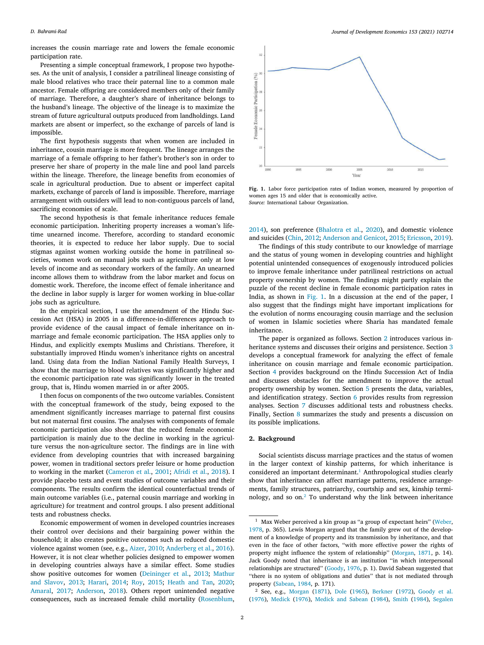increases the cousin marriage rate and lowers the female economic participation rate.

Presenting a simple conceptual framework, I propose two hypotheses. As the unit of analysis, I consider a patrilineal lineage consisting of male blood relatives who trace their paternal line to a common male ancestor. Female offspring are considered members only of their family of marriage. Therefore, a daughter's share of inheritance belongs to the husband's lineage. The objective of the lineage is to maximize the stream of future agricultural outputs produced from landholdings. Land markets are absent or imperfect, so the exchange of parcels of land is impossible.

The first hypothesis suggests that when women are included in inheritance, cousin marriage is more frequent. The lineage arranges the marriage of a female offspring to her father's brother's son in order to preserve her share of property in the male line and pool land parcels within the lineage. Therefore, the lineage benefits from economies of scale in agricultural production. Due to absent or imperfect capital markets, exchange of parcels of land is impossible. Therefore, marriage arrangement with outsiders will lead to non-contiguous parcels of land, sacrificing economies of scale.

The second hypothesis is that female inheritance reduces female economic participation. Inheriting property increases a woman's lifetime unearned income. Therefore, according to standard economic theories, it is expected to reduce her labor supply. Due to social stigmas against women working outside the home in patrilineal societies, women work on manual jobs such as agriculture only at low levels of income and as secondary workers of the family. An unearned income allows them to withdraw from the labor market and focus on domestic work. Therefore, the income effect of female inheritance and the decline in labor supply is larger for women working in blue-collar jobs such as agriculture.

In the empirical section, I use the amendment of the Hindu Succession Act (HSA) in 2005 in a difference-in-differences approach to provide evidence of the causal impact of female inheritance on inmarriage and female economic participation. The HSA applies only to Hindus, and explicitly exempts Muslims and Christians. Therefore, it substantially improved Hindu women's inheritance rights on ancestral land. Using data from the Indian National Family Health Surveys, I show that the marriage to blood relatives was significantly higher and the economic participation rate was significantly lower in the treated group, that is, Hindu women married in or after 2005.

I then focus on components of the two outcome variables. Consistent with the conceptual framework of the study, being exposed to the amendment significantly increases marriage to paternal first cousins but not maternal first cousins. The analyses with components of female economic participation also show that the reduced female economic participation is mainly due to the decline in working in the agriculture versus the non-agriculture sector. The findings are in line with evidence from developing countries that with increased bargaining power, women in traditional sectors prefer leisure or home production to working in the market [\(Cameron et al.,](#page-12-8) [2001;](#page-12-8) [Afridi et al.](#page-11-0), [2018](#page-11-0)). I provide placebo tests and event studies of outcome variables and their components. The results confirm the identical counterfactual trends of main outcome variables (i.e., paternal cousin marriage and working in agriculture) for treatment and control groups. I also present additional tests and robustness checks.

Economic empowerment of women in developed countries increases their control over decisions and their bargaining power within the household; it also creates positive outcomes such as reduced domestic violence against women (see, e.g., [Aizer,](#page-11-1) [2010](#page-11-1); [Anderberg et al.](#page-12-9), [2016](#page-12-9)). However, it is not clear whether policies designed to empower women in developing countries always have a similar effect. Some studies show positive outcomes for women [\(Deininger et al.,](#page-12-1) [2013;](#page-12-1) [Mathur](#page-12-10) [and Slavov](#page-12-10), [2013](#page-12-10); [Harari](#page-12-11), [2014;](#page-12-11) [Roy,](#page-13-0) [2015](#page-13-0); [Heath and Tan](#page-12-2), [2020](#page-12-2); [Amaral](#page-11-2), [2017;](#page-11-2) [Anderson,](#page-12-3) [2018\)](#page-12-3). Others report unintended negative consequences, such as increased female child mortality [\(Rosenblum](#page-13-1),



<span id="page-1-0"></span>**Fig. 1.** Labor force participation rates of Indian women, measured by proportion of women ages 15 and older that is economically active. *Source:* International Labour Organization.

[2014\)](#page-13-1), son preference [\(Bhalotra et al.,](#page-12-12) [2020](#page-12-12)), and domestic violence and suicides [\(Chin,](#page-12-13) [2012](#page-12-13); [Anderson and Genicot,](#page-12-14) [2015](#page-12-14); [Ericsson](#page-12-15), [2019](#page-12-15)).

The findings of this study contribute to our knowledge of marriage and the status of young women in developing countries and highlight potential unintended consequences of exogenously introduced policies to improve female inheritance under patrilineal restrictions on actual property ownership by women. The findings might partly explain the puzzle of the recent decline in female economic participation rates in India, as shown in [Fig. 1](#page-1-0). In a discussion at the end of the paper, I also suggest that the findings might have important implications for the evolution of norms encouraging cousin marriage and the seclusion of women in Islamic societies where Sharia has mandated female inheritance.

The paper is organized as follows. Section [2](#page-1-1) introduces various inheritance systems and discusses their origins and persistence. Section [3](#page-3-0) develops a conceptual framework for analyzing the effect of female inheritance on cousin marriage and female economic participation. Section [4](#page-5-0) provides background on the Hindu Succession Act of India and discusses obstacles for the amendment to improve the actual property ownership by women. Section [5](#page-6-0) presents the data, variables, and identification strategy. Section [6](#page-7-0) provides results from regression analyses. Section [7](#page-9-0) discusses additional tests and robustness checks. Finally, Section [8](#page-10-0) summarizes the study and presents a discussion on its possible implications.

#### **2. Background**

<span id="page-1-2"></span><span id="page-1-1"></span>Social scientists discuss marriage practices and the status of women in the larger context of kinship patterns, for which inheritance is considered an important determinant.<sup>[1](#page-1-2)</sup> Anthropological studies clearly show that inheritance can affect marriage patterns, residence arrangements, family structures, patriarchy, courtship and sex, kinship terminology, and so on.[2](#page-1-3) To understand why the link between inheritance

<span id="page-1-3"></span><sup>&</sup>lt;sup>1</sup> Max Weber perceived a kin group as "a group of expectant heirs" [\(Weber,](#page-13-2) [1978,](#page-13-2) p. 365). Lewis Morgan argued that the family grew out of the development of a knowledge of property and its transmission by inheritance, and that even in the face of other factors, ''with more effective power the rights of property might influence the system of relationship'' [\(Morgan,](#page-13-3) [1871,](#page-13-3) p. 14). Jack Goody noted that inheritance is an institution ''in which interpersonal relationships are structured'' [\(Goody,](#page-12-4) [1976](#page-12-4), p. 1). David Sabean suggested that "there is no system of obligations and duties" that is not mediated through property [\(Sabean,](#page-13-4) [1984,](#page-13-4) p. 171).

<sup>2</sup> See, e.g., [Morgan](#page-13-3) [\(1871](#page-13-3)), [Dole](#page-12-16) [\(1965\)](#page-12-16), [Berkner](#page-12-17) [\(1972](#page-12-17)), [Goody et al.](#page-12-18) [\(1976](#page-12-18)), [Medick](#page-12-19) [\(1976\)](#page-12-19), [Medick and Sabean](#page-12-20) [\(1984](#page-12-20)), [Smith](#page-13-5) ([1984\)](#page-13-5), [Segalen](#page-13-6)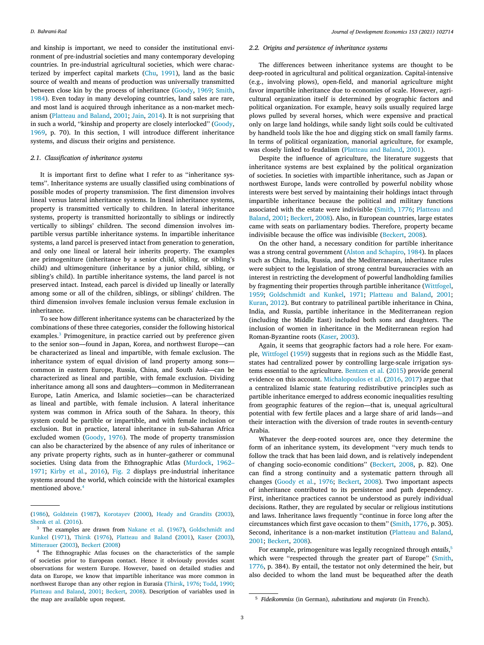and kinship is important, we need to consider the institutional environment of pre-industrial societies and many contemporary developing countries. In pre-industrial agricultural societies, which were characterized by imperfect capital markets [\(Chu](#page-12-21), [1991](#page-12-21)), land as the basic source of wealth and means of production was universally transmitted between close kin by the process of inheritance([Goody,](#page-12-22) [1969;](#page-12-22) [Smith](#page-13-5), [1984\)](#page-13-5). Even today in many developing countries, land sales are rare, and most land is acquired through inheritance as a non-market mechanism([Platteau and Baland](#page-13-7), [2001;](#page-13-7) [Jain](#page-12-6), [2014\)](#page-12-6). It is not surprising that insuch a world, "kinship and property are closely interlocked" ([Goody](#page-12-22), [1969,](#page-12-22) p. 70). In this section, I will introduce different inheritance systems, and discuss their origins and persistence.

#### *2.1. Classification of inheritance systems*

It is important first to define what I refer to as ''inheritance systems''. Inheritance systems are usually classified using combinations of possible modes of property transmission. The first dimension involves lineal versus lateral inheritance systems. In lineal inheritance systems, property is transmitted vertically to children. In lateral inheritance systems, property is transmitted horizontally to siblings or indirectly vertically to siblings' children. The second dimension involves impartible versus partible inheritance systems. In impartible inheritance systems, a land parcel is preserved intact from generation to generation, and only one lineal or lateral heir inherits property. The examples are primogeniture (inheritance by a senior child, sibling, or sibling's child) and ultimogeniture (inheritance by a junior child, sibling, or sibling's child). In partible inheritance systems, the land parcel is not preserved intact. Instead, each parcel is divided up lineally or laterally among some or all of the children, siblings, or siblings' children. The third dimension involves female inclusion versus female exclusion in inheritance.

<span id="page-2-0"></span>To see how different inheritance systems can be characterized by the combinations of these three categories, consider the following historical examples.<sup>[3](#page-2-0)</sup> Primogeniture, in practice carried out by preference given to the senior son—found in Japan, Korea, and northwest Europe—can be characterized as lineal and impartible, with female exclusion. The inheritance system of equal division of land property among sons common in eastern Europe, Russia, China, and South Asia—can be characterized as lineal and partible, with female exclusion. Dividing inheritance among all sons and daughters—common in Mediterranean Europe, Latin America, and Islamic societies—can be characterized as lineal and partible, with female inclusion. A lateral inheritance system was common in Africa south of the Sahara. In theory, this system could be partible or impartible, and with female inclusion or exclusion. But in practice, lateral inheritance in sub-Saharan Africa excluded women([Goody,](#page-12-4) [1976](#page-12-4)). The mode of property transmission can also be characterized by the absence of any rules of inheritance or any private property rights, such as in hunter–gatherer or communal societies. Using data from the Ethnographic Atlas [\(Murdock](#page-13-8), [1962–](#page-13-8) [1971;](#page-13-8) [Kirby et al.,](#page-12-23) [2016](#page-12-23)), [Fig. 2](#page-3-1) displays pre-industrial inheritance systems around the world, which coincide with the historical examples mentioned above.[4](#page-2-1)

## *2.2. Origins and persistence of inheritance systems*

The differences between inheritance systems are thought to be deep-rooted in agricultural and political organization. Capital-intensive (e.g., involving plows), open-field, and manorial agriculture might favor impartible inheritance due to economies of scale. However, agricultural organization itself is determined by geographic factors and political organization. For example, heavy soils usually required large plows pulled by several horses, which were expensive and practical only on large land holdings, while sandy light soils could be cultivated by handheld tools like the hoe and digging stick on small family farms. In terms of political organization, manorial agriculture, for example, was closely linked to feudalism([Platteau and Baland](#page-13-7), [2001](#page-13-7)).

Despite the influence of agriculture, the literature suggests that inheritance systems are best explained by the political organization of societies. In societies with impartible inheritance, such as Japan or northwest Europe, lands were controlled by powerful nobility whose interests were best served by maintaining their holdings intact through impartible inheritance because the political and military functions associated with the estate were indivisible [\(Smith,](#page-13-13) [1776;](#page-13-13) [Platteau and](#page-13-7) [Baland,](#page-13-7) [2001](#page-13-7); [Beckert,](#page-12-29) [2008](#page-12-29)). Also, in European countries, large estates came with seats on parliamentary bodies. Therefore, property became indivisible because the office was indivisible [\(Beckert](#page-12-29), [2008](#page-12-29)).

On the other hand, a necessary condition for partible inheritance was a strong central government [\(Alston and Schapiro](#page-11-3), [1984](#page-11-3)). In places such as China, India, Russia, and the Mediterranean, inheritance rules were subject to the legislation of strong central bureaucracies with an interest in restricting the development of powerful landholding families by fragmenting their properties through partible inheritance([Wittfogel](#page-13-14), [1959;](#page-13-14) [Goldschmidt and Kunkel](#page-12-26), [1971](#page-12-26); [Platteau and Baland,](#page-13-7) [2001](#page-13-7); [Kuran,](#page-12-30) [2012\)](#page-12-30). But contrary to patrilineal partible inheritance in China, India, and Russia, partible inheritance in the Mediterranean region (including the Middle East) included both sons and daughters. The inclusion of women in inheritance in the Mediterranean region had Roman-Byzantine roots([Kaser](#page-12-27), [2003](#page-12-27)).

Again, it seems that geographic factors had a role here. For example, [Wittfogel](#page-13-14) ([1959\)](#page-13-14) suggests that in regions such as the Middle East, states had centralized power by controlling large-scale irrigation systems essential to the agriculture. [Bentzen et al.](#page-12-31) ([2015\)](#page-12-31) provide general evidence on this account. [Michalopoulos et al.](#page-12-32) ([2016,](#page-12-32) [2017](#page-12-33)) argue that a centralized Islamic state featuring redistributive principles such as partible inheritance emerged to address economic inequalities resulting from geographic features of the region—that is, unequal agricultural potential with few fertile places and a large share of arid lands—and their interaction with the diversion of trade routes in seventh-century Arabia.

Whatever the deep-rooted sources are, once they determine the form of an inheritance system, its development ''very much tends to follow the track that has been laid down, and is relatively independent of changing socio-economic conditions''([Beckert](#page-12-29), [2008,](#page-12-29) p. 82). One can find a strong continuity and a systematic pattern through all changes [\(Goody et al.,](#page-12-18) [1976](#page-12-18); [Beckert](#page-12-29), [2008](#page-12-29)). Two important aspects of inheritance contributed to its persistence and path dependency. First, inheritance practices cannot be understood as purely individual decisions. Rather, they are regulated by secular or religious institutions and laws. Inheritance laws frequently ''continue in force long after the circumstances which first gave occasion to them''([Smith](#page-13-13), [1776](#page-13-13), p. 305). Second, inheritance is a non-market institution([Platteau and Baland](#page-13-7), [2001;](#page-13-7) [Beckert,](#page-12-29) [2008\)](#page-12-29).

<span id="page-2-2"></span>For example, primogeniture was legally recognized through *entails*, [5](#page-2-2) whichwere "respected through the greater part of Europe" ([Smith](#page-13-13), [1776,](#page-13-13) p. 384). By entail, the testator not only determined the heir, but also decided to whom the land must be bequeathed after the death

<span id="page-2-1"></span>[<sup>\(1986</sup>](#page-13-6)), [Goldstein](#page-12-24) ([1987\)](#page-12-24), [Korotayev](#page-12-5) ([2000\)](#page-12-5), [Heady and Grandits](#page-12-25) ([2003\)](#page-12-25), [Shenk et al.](#page-13-9) [\(2016](#page-13-9)).

<sup>3</sup> The examples are drawn from [Nakane et al.](#page-13-10) ([1967\)](#page-13-10), [Goldschmidt and](#page-12-26) [Kunkel](#page-12-26) ([1971\)](#page-12-26), [Thirsk](#page-13-11) ([1976\)](#page-13-11), [Platteau and Baland](#page-13-7) ([2001\)](#page-13-7), [Kaser](#page-12-27) ([2003\)](#page-12-27), [Mitterauer](#page-12-28) ([2003\)](#page-12-28), [Beckert](#page-12-29) [\(2008](#page-12-29))

<sup>4</sup> The Ethnographic Atlas focuses on the characteristics of the sample of societies prior to European contact. Hence it obviously provides scant observations for western Europe. However, based on detailed studies and data on Europe, we know that impartible inheritance was more common in northwest Europe than any other region in Eurasia [\(Thirsk](#page-13-11), [1976;](#page-13-11) [Todd](#page-13-12), [1990;](#page-13-12) [Platteau and Baland,](#page-13-7) [2001](#page-13-7); [Beckert](#page-12-29), [2008\)](#page-12-29). Description of variables used in the map are available upon request.

<sup>5</sup> *Fideikommiss* (in German), *substitutions* and *majorats* (in French).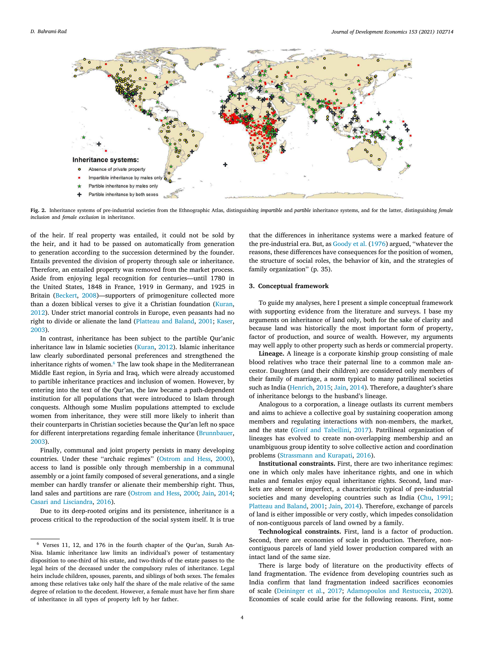

<span id="page-3-1"></span>**Fig. 2.** Inheritance systems of pre-industrial societies from the Ethnographic Atlas, distinguishing *impartible* and *partible* inheritance systems, and for the latter, distinguishing *female inclusion* and *female exclusion* in inheritance.

of the heir. If real property was entailed, it could not be sold by the heir, and it had to be passed on automatically from generation to generation according to the succession determined by the founder. Entails prevented the division of property through sale or inheritance. Therefore, an entailed property was removed from the market process. Aside from enjoying legal recognition for centuries—until 1780 in the United States, 1848 in France, 1919 in Germany, and 1925 in Britain [\(Beckert,](#page-12-29) [2008\)](#page-12-29)—supporters of primogeniture collected more than a dozen biblical verses to give it a Christian foundation [\(Kuran](#page-12-30), [2012\)](#page-12-30). Under strict manorial controls in Europe, even peasants had no right to divide or alienate the land([Platteau and Baland](#page-13-7), [2001](#page-13-7); [Kaser](#page-12-27), [2003\)](#page-12-27).

<span id="page-3-2"></span>In contrast, inheritance has been subject to the partible Qur'anic inheritance law in Islamic societies([Kuran](#page-12-30), [2012\)](#page-12-30). Islamic inheritance law clearly subordinated personal preferences and strengthened the inheritance rights of women.<sup>[6](#page-3-2)</sup> The law took shape in the Mediterranean Middle East region, in Syria and Iraq, which were already accustomed to partible inheritance practices and inclusion of women. However, by entering into the text of the Qur'an, the law became a path-dependent institution for all populations that were introduced to Islam through conquests. Although some Muslim populations attempted to exclude women from inheritance, they were still more likely to inherit than their counterparts in Christian societies because the Qur'an left no space for different interpretations regarding female inheritance([Brunnbauer](#page-12-34), [2003\)](#page-12-34).

Finally, communal and joint property persists in many developing countries. Under these ''archaic regimes'' [\(Ostrom and Hess](#page-13-15), [2000](#page-13-15)), access to land is possible only through membership in a communal assembly or a joint family composed of several generations, and a single member can hardly transfer or alienate their membership right. Thus, land sales and partitions are rare([Ostrom and Hess](#page-13-15), [2000;](#page-13-15) [Jain,](#page-12-6) [2014](#page-12-6); [Casari and Lisciandra,](#page-12-35) [2016\)](#page-12-35).

Due to its deep-rooted origins and its persistence, inheritance is a process critical to the reproduction of the social system itself. It is true

that the differences in inheritance systems were a marked feature of the pre-industrial era. But, as [Goody et al.](#page-12-18) ([1976\)](#page-12-18) argued, ''whatever the reasons, these differences have consequences for the position of women, the structure of social roles, the behavior of kin, and the strategies of family organization'' (p. 35).

#### **3. Conceptual framework**

<span id="page-3-0"></span>To guide my analyses, here I present a simple conceptual framework with supporting evidence from the literature and surveys. I base my arguments on inheritance of land only, both for the sake of clarity and because land was historically the most important form of property, factor of production, and source of wealth. However, my arguments may well apply to other property such as herds or commercial property.

**Lineage.** A lineage is a corporate kinship group consisting of male blood relatives who trace their paternal line to a common male ancestor. Daughters (and their children) are considered only members of their family of marriage, a norm typical to many patrilineal societies such as India([Henrich](#page-12-36), [2015](#page-12-36); [Jain](#page-12-6), [2014](#page-12-6)). Therefore, a daughter's share of inheritance belongs to the husband's lineage.

Analogous to a corporation, a lineage outlasts its current members and aims to achieve a collective goal by sustaining cooperation among members and regulating interactions with non-members, the market, and the state [\(Greif and Tabellini](#page-12-37), [2017\)](#page-12-37). Patrilineal organization of lineages has evolved to create non-overlapping membership and an unambiguous group identity to solve collective action and coordination problems([Strassmann and Kurapati,](#page-13-16) [2016\)](#page-13-16).

**Institutional constraints.** First, there are two inheritance regimes: one in which only males have inheritance rights, and one in which males and females enjoy equal inheritance rights. Second, land markets are absent or imperfect, a characteristic typical of pre-industrial societies and many developing countries such as India [\(Chu](#page-12-21), [1991](#page-12-21); [Platteau and Baland,](#page-13-7) [2001](#page-13-7); [Jain,](#page-12-6) [2014](#page-12-6)). Therefore, exchange of parcels of land is either impossible or very costly, which impedes consolidation of non-contiguous parcels of land owned by a family.

**Technological constraints.** First, land is a factor of production. Second, there are economies of scale in production. Therefore, noncontiguous parcels of land yield lower production compared with an intact land of the same size.

There is large body of literature on the productivity effects of land fragmentation. The evidence from developing countries such as India confirm that land fragmentation indeed sacrifices economies of scale([Deininger et al.,](#page-12-38) [2017](#page-12-38); [Adamopoulos and Restuccia,](#page-11-4) [2020](#page-11-4)). Economies of scale could arise for the following reasons. First, some

<sup>6</sup> Verses 11, 12, and 176 in the fourth chapter of the Qur'an, Surah An-Nisa. Islamic inheritance law limits an individual's power of testamentary disposition to one-third of his estate, and two-thirds of the estate passes to the legal heirs of the deceased under the compulsory rules of inheritance. Legal heirs include children, spouses, parents, and siblings of both sexes. The females among these relatives take only half the share of the male relative of the same degree of relation to the decedent. However, a female must have her firm share of inheritance in all types of property left by her father.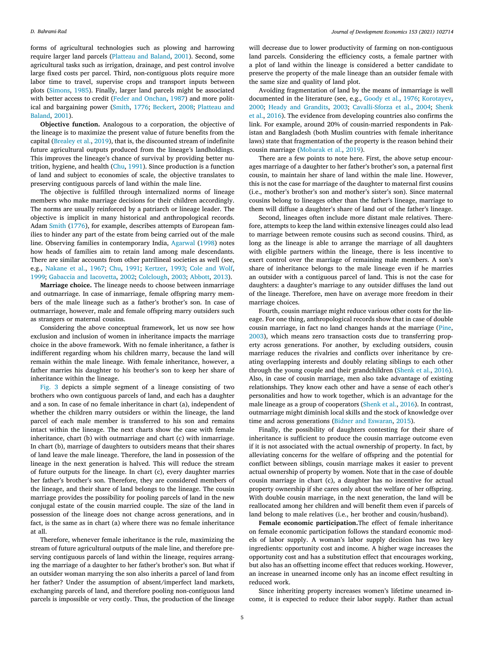forms of agricultural technologies such as plowing and harrowing require larger land parcels([Platteau and Baland,](#page-13-7) [2001](#page-13-7)). Second, some agricultural tasks such as irrigation, drainage, and pest control involve large fixed costs per parcel. Third, non-contiguous plots require more labor time to travel, supervise crops and transport inputs between plots([Simons](#page-13-17), [1985](#page-13-17)). Finally, larger land parcels might be associated with better access to credit([Feder and Onchan,](#page-12-39) [1987\)](#page-12-39) and more political and bargaining power([Smith,](#page-13-13) [1776;](#page-13-13) [Beckert,](#page-12-29) [2008](#page-12-29); [Platteau and](#page-13-7) [Baland,](#page-13-7) [2001\)](#page-13-7).

**Objective function.** Analogous to a corporation, the objective of the lineage is to maximize the present value of future benefits from the capital [\(Brealey et al.,](#page-12-40) [2019\)](#page-12-40), that is, the discounted stream of indefinite future agricultural outputs produced from the lineage's landholdings. This improves the lineage's chance of survival by providing better nutrition, hygiene, and health [\(Chu](#page-12-21), [1991\)](#page-12-21). Since production is a function of land and subject to economies of scale, the objective translates to preserving contiguous parcels of land within the male line.

The objective is fulfilled through internalized norms of lineage members who make marriage decisions for their children accordingly. The norms are usually reinforced by a patriarch or lineage leader. The objective is implicit in many historical and anthropological records. Adam [Smith](#page-13-13) ([1776\)](#page-13-13), for example, describes attempts of European families to hinder any part of the estate from being carried out of the male line. Observing families in contemporary India, [Agarwal](#page-11-5) [\(1998](#page-11-5)) notes how heads of families aim to retain land among male descendants. There are similar accounts from other patrilineal societies as well (see, e.g., [Nakane et al.](#page-13-10), [1967;](#page-13-10) [Chu,](#page-12-21) [1991;](#page-12-21) [Kertzer](#page-12-41), [1993;](#page-12-41) [Cole and Wolf](#page-12-42), [1999;](#page-12-42) [Gabaccia and Iacovetta](#page-12-43), [2002;](#page-12-43) [Colclough](#page-12-44), [2003](#page-12-44); [Abbott,](#page-11-6) [2013\)](#page-11-6).

**Marriage choice.** The lineage needs to choose between inmarriage and outmarriage. In case of inmarriage, female offspring marry members of the male lineage such as a father's brother's son. In case of outmarriage, however, male and female offspring marry outsiders such as strangers or maternal cousins.

Considering the above conceptual framework, let us now see how exclusion and inclusion of women in inheritance impacts the marriage choice in the above framework. With no female inheritance, a father is indifferent regarding whom his children marry, because the land will remain within the male lineage. With female inheritance, however, a father marries his daughter to his brother's son to keep her share of inheritance within the lineage.

[Fig. 3](#page-5-1) depicts a simple segment of a lineage consisting of two brothers who own contiguous parcels of land, and each has a daughter and a son. In case of no female inheritance in chart (a), independent of whether the children marry outsiders or within the lineage, the land parcel of each male member is transferred to his son and remains intact within the lineage. The next charts show the case with female inheritance, chart (b) with outmarriage and chart (c) with inmarriage. In chart (b), marriage of daughters to outsiders means that their shares of land leave the male lineage. Therefore, the land in possession of the lineage in the next generation is halved. This will reduce the stream of future outputs for the lineage. In chart (c), every daughter marries her father's brother's son. Therefore, they are considered members of the lineage, and their share of land belongs to the lineage. The cousin marriage provides the possibility for pooling parcels of land in the new conjugal estate of the cousin married couple. The size of the land in possession of the lineage does not change across generations, and in fact, is the same as in chart (a) where there was no female inheritance at all.

Therefore, whenever female inheritance is the rule, maximizing the stream of future agricultural outputs of the male line, and therefore preserving contiguous parcels of land within the lineage, requires arranging the marriage of a daughter to her father's brother's son. But what if an outsider woman marrying the son also inherits a parcel of land from her father? Under the assumption of absent/imperfect land markets, exchanging parcels of land, and therefore pooling non-contiguous land parcels is impossible or very costly. Thus, the production of the lineage

will decrease due to lower productivity of farming on non-contiguous land parcels. Considering the efficiency costs, a female partner with a plot of land within the lineage is considered a better candidate to preserve the property of the male lineage than an outsider female with the same size and quality of land plot.

Avoiding fragmentation of land by the means of inmarriage is well documented in the literature (see, e.g., [Goody et al.,](#page-12-18) [1976;](#page-12-18) [Korotayev](#page-12-5), [2000;](#page-12-5) [Heady and Grandits](#page-12-25), [2003](#page-12-25); [Cavalli-Sforza et al.](#page-12-45), [2004](#page-12-45); [Shenk](#page-13-9) [et al.](#page-13-9), [2016\)](#page-13-9). The evidence from developing countries also confirms the link. For example, around 20% of cousin-married respondents in Pakistan and Bangladesh (both Muslim countries with female inheritance laws) state that fragmentation of the property is the reason behind their cousin marriage [\(Mobarak et al.](#page-12-46), [2019\)](#page-12-46).

There are a few points to note here. First, the above setup encourages marriage of a daughter to her father's brother's son, a paternal first cousin, to maintain her share of land within the male line. However, this is not the case for marriage of the daughter to maternal first cousins (i.e., mother's brother's son and mother's sister's son). Since maternal cousins belong to lineages other than the father's lineage, marriage to them will diffuse a daughter's share of land out of the father's lineage.

Second, lineages often include more distant male relatives. Therefore, attempts to keep the land within extensive lineages could also lead to marriage between remote cousins such as second cousins. Third, as long as the lineage is able to arrange the marriage of all daughters with eligible partners within the lineage, there is less incentive to exert control over the marriage of remaining male members. A son's share of inheritance belongs to the male lineage even if he marries an outsider with a contiguous parcel of land. This is not the case for daughters: a daughter's marriage to any outsider diffuses the land out of the lineage. Therefore, men have on average more freedom in their marriage choices.

Fourth, cousin marriage might reduce various other costs for the lineage. For one thing, anthropological records show that in case of double cousin marriage, in fact no land changes hands at the marriage [\(Pine](#page-13-18), [2003\)](#page-13-18), which means zero transaction costs due to transferring property across generations. For another, by excluding outsiders, cousin marriage reduces the rivalries and conflicts over inheritance by creating overlapping interests and doubly relating siblings to each other through the young couple and their grandchildren([Shenk et al.](#page-13-9), [2016](#page-13-9)). Also, in case of cousin marriage, men also take advantage of existing relationships. They know each other and have a sense of each other's personalities and how to work together, which is an advantage for the male lineage as a group of cooperators [\(Shenk et al.](#page-13-9), [2016](#page-13-9)). In contrast, outmarriage might diminish local skills and the stock of knowledge over time and across generations([Bidner and Eswaran,](#page-12-47) [2015\)](#page-12-47).

Finally, the possibility of daughters contesting for their share of inheritance is sufficient to produce the cousin marriage outcome even if it is not associated with the actual ownership of property. In fact, by alleviating concerns for the welfare of offspring and the potential for conflict between siblings, cousin marriage makes it easier to prevent actual ownership of property by women. Note that in the case of double cousin marriage in chart (c), a daughter has no incentive for actual property ownership if she cares only about the welfare of her offspring. With double cousin marriage, in the next generation, the land will be reallocated among her children and will benefit them even if parcels of land belong to male relatives (i.e., her brother and cousin/husband).

**Female economic participation.**The effect of female inheritance on female economic participation follows the standard economic models of labor supply. A woman's labor supply decision has two key ingredients: opportunity cost and income. A higher wage increases the opportunity cost and has a substitution effect that encourages working, but also has an offsetting income effect that reduces working. However, an increase in unearned income only has an income effect resulting in reduced work.

Since inheriting property increases women's lifetime unearned income, it is expected to reduce their labor supply. Rather than actual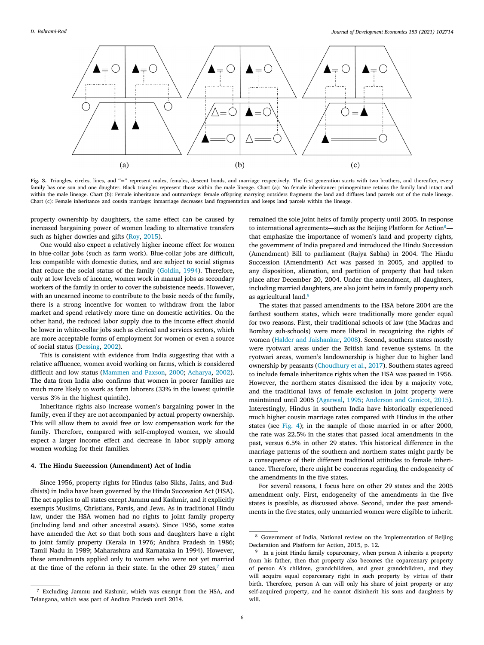

<span id="page-5-1"></span>Fig. 3. Triangles, circles, lines, and "=" represent males, females, descent bonds, and marriage respectively. The first generation starts with two brothers, and thereafter, every family has one son and one daughter. Black triangles represent those within the male lineage. Chart (a): No female inheritance: primogeniture retains the family land intact and within the male lineage. Chart (b): Female inheritance and outmarriage: female offspring marrying outsiders fragments the land and diffuses land parcels out of the male lineage. Chart (c): Female inheritance and cousin marriage: inmarriage decreases land fragmentation and keeps land parcels within the lineage.

property ownership by daughters, the same effect can be caused by increased bargaining power of women leading to alternative transfers such as higher dowries and gifts [\(Roy](#page-13-0), [2015\)](#page-13-0).

One would also expect a relatively higher income effect for women in blue-collar jobs (such as farm work). Blue-collar jobs are difficult, less compatible with domestic duties, and are subject to social stigmas that reduce the social status of the family([Goldin](#page-12-7), [1994\)](#page-12-7). Therefore, only at low levels of income, women work in manual jobs as secondary workers of the family in order to cover the subsistence needs. However, with an unearned income to contribute to the basic needs of the family, there is a strong incentive for women to withdraw from the labor market and spend relatively more time on domestic activities. On the other hand, the reduced labor supply due to the income effect should be lower in white-collar jobs such as clerical and services sectors, which are more acceptable forms of employment for women or even a source of social status([Dessing,](#page-12-48) [2002\)](#page-12-48).

This is consistent with evidence from India suggesting that with a relative affluence, women avoid working on farms, which is considered difficult and low status [\(Mammen and Paxson](#page-12-49), [2000](#page-12-49); [Acharya](#page-11-7), [2002](#page-11-7)). The data from India also confirms that women in poorer families are much more likely to work as farm laborers (33% in the lowest quintile versus 3% in the highest quintile).

Inheritance rights also increase women's bargaining power in the family, even if they are not accompanied by actual property ownership. This will allow them to avoid free or low compensation work for the family. Therefore, compared with self-employed women, we should expect a larger income effect and decrease in labor supply among women working for their families.

## **4. The Hindu Succession (Amendment) Act of India**

<span id="page-5-0"></span>Since 1956, property rights for Hindus (also Sikhs, Jains, and Buddhists) in India have been governed by the Hindu Succession Act (HSA). The act applies to all states except Jammu and Kashmir, and it explicitly exempts Muslims, Christians, Parsis, and Jews. As in traditional Hindu law, under the HSA women had no rights to joint family property (including land and other ancestral assets). Since 1956, some states have amended the Act so that both sons and daughters have a right to joint family property (Kerala in 1976; Andhra Pradesh in 1986; Tamil Nadu in 1989; Maharashtra and Karnataka in 1994). However, these amendments applied only to women who were not yet married at the time of the reform in their state. In the other 29 states,<sup>[7](#page-5-2)</sup> men

<span id="page-5-3"></span>remained the sole joint heirs of family property until 2005. In response to international agreements—such as the Beijing Platform for Action<sup>[8](#page-5-3)</sup> that emphasize the importance of women's land and property rights, the government of India prepared and introduced the Hindu Succession (Amendment) Bill to parliament (Rajya Sabha) in 2004. The Hindu Succession (Amendment) Act was passed in 2005, and applied to any disposition, alienation, and partition of property that had taken place after December 20, 2004. Under the amendment, all daughters, including married daughters, are also joint heirs in family property such as agricultural land.<sup>[9](#page-5-4)</sup>

<span id="page-5-4"></span>The states that passed amendments to the HSA before 2004 are the farthest southern states, which were traditionally more gender equal for two reasons. First, their traditional schools of law (the Madras and Bombay sub-schools) were more liberal in recognizing the rights of women([Halder and Jaishankar](#page-12-50), [2008\)](#page-12-50). Second, southern states mostly were ryotwari areas under the British land revenue systems. In the ryotwari areas, women's landownership is higher due to higher land ownership by peasants([Choudhury et al.](#page-12-51), [2017](#page-12-51)). Southern states agreed to include female inheritance rights when the HSA was passed in 1956. However, the northern states dismissed the idea by a majority vote, and the traditional laws of female exclusion in joint property were maintained until 2005([Agarwal,](#page-11-8) [1995;](#page-11-8) [Anderson and Genicot](#page-12-14), [2015](#page-12-14)). Interestingly, Hindus in southern India have historically experienced much higher cousin marriage rates compared with Hindus in the other states (see [Fig. 4\)](#page-6-1); in the sample of those married in or after 2000, the rate was 22.5% in the states that passed local amendments in the past, versus 6.5% in other 29 states. This historical difference in the marriage patterns of the southern and northern states might partly be a consequence of their different traditional attitudes to female inheritance. Therefore, there might be concerns regarding the endogeneity of the amendments in the five states.

For several reasons, I focus here on other 29 states and the 2005 amendment only. First, endogeneity of the amendments in the five states is possible, as discussed above. Second, under the past amendments in the five states, only unmarried women were eligible to inherit.

<sup>7</sup> Excluding Jammu and Kashmir, which was exempt from the HSA, and Telangana, which was part of Andhra Pradesh until 2014.

<sup>8</sup> Government of India, National review on the Implementation of Beijing Declaration and Platform for Action, 2015, p. 12.

<span id="page-5-2"></span><sup>&</sup>lt;sup>9</sup> In a joint Hindu family coparcenary, when person A inherits a property from his father, then that property also becomes the coparcenary property of person A's children, grandchildren, and great grandchildren, and they will acquire equal coparcenary right in such property by virtue of their birth. Therefore, person A can will only his share of joint property or any self-acquired property, and he cannot disinherit his sons and daughters by will.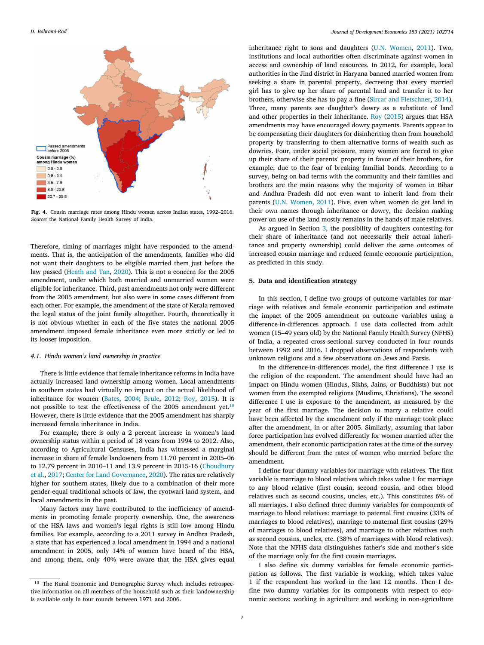

<span id="page-6-1"></span>**Fig. 4.** Cousin marriage rates among Hindu women across Indian states, 1992–2016. *Source:* the National Family Health Survey of India.

Therefore, timing of marriages might have responded to the amendments. That is, the anticipation of the amendments, families who did not want their daughters to be eligible married them just before the law passed [\(Heath and Tan](#page-12-2), [2020](#page-12-2)). This is not a concern for the 2005 amendment, under which both married and unmarried women were eligible for inheritance. Third, past amendments not only were different from the 2005 amendment, but also were in some cases different from each other. For example, the amendment of the state of Kerala removed the legal status of the joint family altogether. Fourth, theoretically it is not obvious whether in each of the five states the national 2005 amendment imposed female inheritance even more strictly or led to its looser imposition.

#### *4.1. Hindu women's land ownership in practice*

There is little evidence that female inheritance reforms in India have actually increased land ownership among women. Local amendments in southern states had virtually no impact on the actual likelihood of inheritance for women [\(Bates,](#page-12-52) [2004](#page-12-52); [Brule](#page-12-53), [2012](#page-12-53); [Roy](#page-13-0), [2015](#page-13-0)). It is not possible to test the effectiveness of the 2005 amendment yet. $10$ However, there is little evidence that the 2005 amendment has sharply increased female inheritance in India.

For example, there is only a 2 percent increase in women's land ownership status within a period of 18 years from 1994 to 2012. Also, according to Agricultural Censuses, India has witnessed a marginal increase in share of female landowners from 11.70 percent in 2005–06 to 12.79 percent in 2010–11 and 13.9 percent in 2015-16 [\(Choudhury](#page-12-51) [et al.,](#page-12-51) [2017;](#page-12-51) [Center for Land Governance](#page-12-54), [2020](#page-12-54)). The rates are relatively higher for southern states, likely due to a combination of their more gender-equal traditional schools of law, the ryotwari land system, and local amendments in the past.

Many factors may have contributed to the inefficiency of amendments in promoting female property ownership. One, the awareness of the HSA laws and women's legal rights is still low among Hindu families. For example, according to a 2011 survey in Andhra Pradesh, a state that has experienced a local amendment in 1994 and a national amendment in 2005, only 14% of women have heard of the HSA, and among them, only 40% were aware that the HSA gives equal inheritance right to sons and daughters [\(U.N. Women,](#page-13-19) [2011\)](#page-13-19). Two, institutions and local authorities often discriminate against women in access and ownership of land resources. In 2012, for example, local authorities in the Jind district in Haryana banned married women from seeking a share in parental property, decreeing that every married girl has to give up her share of parental land and transfer it to her brothers, otherwise she has to pay a fine [\(Sircar and Fletschner,](#page-13-20) [2014](#page-13-20)). Three, many parents see daughter's dowry as a substitute of land and other properties in their inheritance. [Roy](#page-13-0) ([2015\)](#page-13-0) argues that HSA amendments may have encouraged dowry payments. Parents appear to be compensating their daughters for disinheriting them from household property by transferring to them alternative forms of wealth such as dowries. Four, under social pressure, many women are forced to give up their share of their parents' property in favor of their brothers, for example, due to the fear of breaking familial bonds. According to a survey, being on bad terms with the community and their families and brothers are the main reasons why the majority of women in Bihar and Andhra Pradesh did not even want to inherit land from their parents([U.N. Women](#page-13-19), [2011\)](#page-13-19). Five, even when women do get land in their own names through inheritance or dowry, the decision making power on use of the land mostly remains in the hands of male relatives.

As argued in Section [3](#page-3-0), the possibility of daughters contesting for their share of inheritance (and not necessarily their actual inheritance and property ownership) could deliver the same outcomes of increased cousin marriage and reduced female economic participation, as predicted in this study.

#### **5. Data and identification strategy**

<span id="page-6-0"></span>In this section, I define two groups of outcome variables for marriage with relatives and female economic participation and estimate the impact of the 2005 amendment on outcome variables using a difference-in-differences approach. I use data collected from adult women (15–49 years old) by the National Family Health Survey (NFHS) of India, a repeated cross-sectional survey conducted in four rounds between 1992 and 2016. I dropped observations of respondents with unknown religions and a few observations on Jews and Parsis.

<span id="page-6-2"></span>In the difference-in-differences model, the first difference I use is the religion of the respondent. The amendment should have had an impact on Hindu women (Hindus, Sikhs, Jains, or Buddhists) but not women from the exempted religions (Muslims, Christians). The second difference I use is exposure to the amendment, as measured by the year of the first marriage. The decision to marry a relative could have been affected by the amendment only if the marriage took place after the amendment, in or after 2005. Similarly, assuming that labor force participation has evolved differently for women married after the amendment, their economic participation rates at the time of the survey should be different from the rates of women who married before the amendment.

I define four dummy variables for marriage with relatives. The first variable is marriage to blood relatives which takes value 1 for marriage to any blood relative (first cousin, second cousin, and other blood relatives such as second cousins, uncles, etc.). This constitutes 6% of all marriages. I also defined three dummy variables for components of marriage to blood relatives: marriage to paternal first cousins (33% of marriages to blood relatives), marriage to maternal first cousins (29% of marriages to blood relatives), and marriage to other relatives such as second cousins, uncles, etc. (38% of marriages with blood relatives). Note that the NFHS data distinguishes father's side and mother's side of the marriage only for the first cousin marriages.

I also define six dummy variables for female economic participation as follows. The first variable is working, which takes value 1 if the respondent has worked in the last 12 months. Then I define two dummy variables for its components with respect to economic sectors: working in agriculture and working in non-agriculture

<sup>10</sup> The Rural Economic and Demographic Survey which includes retrospective information on all members of the household such as their landownership is available only in four rounds between 1971 and 2006.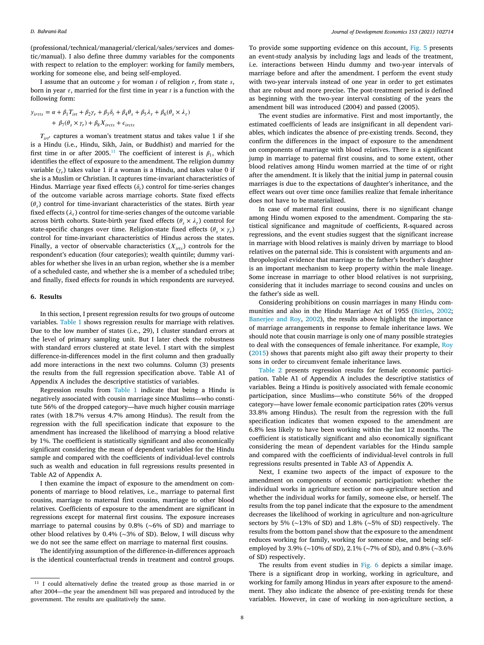(professional/technical/managerial/clerical/sales/services and domestic/manual). I also define three dummy variables for the components with respect to relation to the employer: working for family members, working for someone else, and being self-employed.

I assume that an outcome  $y$  for woman *i* of religion  $r$ , from state  $s$ , born in year  $\tau$ , married for the first time in year  $t$  is a function with the following form:

$$
y_{irrts} = \alpha + \beta_1 T_{irt} + \beta_2 \gamma_r + \beta_3 \delta_t + \beta_4 \theta_s + \beta_5 \lambda_\tau + \beta_6 (\theta_s \times \lambda_\tau)
$$
  
+  $\beta_7 (\theta_s \times \gamma_r) + \beta_8 X_{ircts} + \epsilon_{ircts}$ 

<span id="page-7-1"></span> $T_{irt'}$  captures a woman's treatment status and takes value 1 if she is a Hindu (i.e., Hindu, Sikh, Jain, or Buddhist) and married for the first time in or after 2005.<sup>[11](#page-7-1)</sup> The coefficient of interest is  $\beta_1$ , which identifies the effect of exposure to the amendment. The religion dummy variable ( $\gamma_r$ ) takes value 1 if a woman is a Hindu, and takes value 0 if she is a Muslim or Christian. It captures time-invariant characteristics of Hindus. Marriage year fixed effects  $(\delta_t)$  control for time-series changes of the outcome variable across marriage cohorts. State fixed effects  $(\theta_s)$  control for time-invariant characteristics of the states. Birth year fixed effects ( $\lambda_\tau$ ) control for time-series changes of the outcome variable across birth cohorts. State-birth year fixed effects  $(\theta_s \times \lambda_{\tau})$  control for state-specific changes over time. Religion-state fixed effects  $(\theta_s \times \gamma_r)$ control for time-invariant characteristics of Hindus across the states. Finally, a vector of observable characteristics  $(X_{ints})$  controls for the respondent's education (four categories); wealth quintile; dummy variables for whether she lives in an urban region, whether she is a member of a scheduled caste, and whether she is a member of a scheduled tribe; and finally, fixed effects for rounds in which respondents are surveyed.

#### **6. Results**

<span id="page-7-0"></span>In this section, I present regression results for two groups of outcome variables. [Table 1](#page-8-0) shows regression results for marriage with relatives. Due to the low number of states (i.e., 29), I cluster standard errors at the level of primary sampling unit. But I later check the robustness with standard errors clustered at state level. I start with the simplest difference-in-differences model in the first column and then gradually add more interactions in the next two columns. Column (3) presents the results from the full regression specification above. Table A1 of Appendix A includes the descriptive statistics of variables.

Regression results from [Table 1](#page-8-0) indicate that being a Hindu is negatively associated with cousin marriage since Muslims—who constitute 56% of the dropped category—have much higher cousin marriage rates (with 18.7% versus 4.7% among Hindus). The result from the regression with the full specification indicate that exposure to the amendment has increased the likelihood of marrying a blood relative by 1%. The coefficient is statistically significant and also economically significant considering the mean of dependent variables for the Hindu sample and compared with the coefficients of individual-level controls such as wealth and education in full regressions results presented in Table A2 of Appendix A.

I then examine the impact of exposure to the amendment on components of marriage to blood relatives, i.e., marriage to paternal first cousins, marriage to maternal first cousins, marriage to other blood relatives. Coefficients of exposure to the amendment are significant in regressions except for maternal first cousins. The exposure increases marriage to paternal cousins by 0.8% (∼6% of SD) and marriage to other blood relatives by 0.4% (∼3% of SD). Below, I will discuss why we do not see the same effect on marriage to maternal first cousins.

The identifying assumption of the difference-in-differences approach is the identical counterfactual trends in treatment and control groups.

To provide some supporting evidence on this account, [Fig. 5](#page-8-1) presents an event-study analysis by including lags and leads of the treatment, i.e. interactions between Hindu dummy and two-year intervals of marriage before and after the amendment. I perform the event study with two-year intervals instead of one year in order to get estimates that are robust and more precise. The post-treatment period is defined as beginning with the two-year interval consisting of the years the amendment bill was introduced (2004) and passed (2005).

The event studies are informative. First and most importantly, the estimated coefficients of leads are insignificant in all dependent variables, which indicates the absence of pre-existing trends. Second, they confirm the differences in the impact of exposure to the amendment on components of marriage with blood relatives. There is a significant jump in marriage to paternal first cousins, and to some extent, other blood relatives among Hindu women married at the time of or right after the amendment. It is likely that the initial jump in paternal cousin marriages is due to the expectations of daughter's inheritance, and the effect wears out over time once families realize that female inheritance does not have to be materialized.

In case of maternal first cousins, there is no significant change among Hindu women exposed to the amendment. Comparing the statistical significance and magnitude of coefficients, R-squared across regressions, and the event studies suggest that the significant increase in marriage with blood relatives is mainly driven by marriage to blood relatives on the paternal side. This is consistent with arguments and anthropological evidence that marriage to the father's brother's daughter is an important mechanism to keep property within the male lineage. Some increase in marriage to other blood relatives is not surprising, considering that it includes marriage to second cousins and uncles on the father's side as well.

Considering prohibitions on cousin marriages in many Hindu communities and also in the Hindu Marriage Act of 1955([Bittles,](#page-12-55) [2002](#page-12-55); [Banerjee and Roy,](#page-12-56) [2002](#page-12-56)), the results above highlight the importance of marriage arrangements in response to female inheritance laws. We should note that cousin marriage is only one of many possible strategies to deal with the consequences of female inheritance. For example, [Roy](#page-13-0) ([2015\)](#page-13-0) shows that parents might also gift away their property to their sons in order to circumvent female inheritance laws.

[Table 2](#page-9-1) presents regression results for female economic participation. Table A1 of Appendix A includes the descriptive statistics of variables. Being a Hindu is positively associated with female economic participation, since Muslims—who constitute 56% of the dropped category—have lower female economic participation rates (20% versus 33.8% among Hindus). The result from the regression with the full specification indicates that women exposed to the amendment are 6.8% less likely to have been working within the last 12 months. The coefficient is statistically significant and also economically significant considering the mean of dependent variables for the Hindu sample and compared with the coefficients of individual-level controls in full regressions results presented in Table A3 of Appendix A.

Next, I examine two aspects of the impact of exposure to the amendment on components of economic participation: whether the individual works in agriculture section or non-agriculture section and whether the individual works for family, someone else, or herself. The results from the top panel indicate that the exposure to the amendment decreases the likelihood of working in agriculture and non-agriculture sectors by 5% (∼13% of SD) and 1.8% (∼5% of SD) respectively. The results from the bottom panel show that the exposure to the amendment reduces working for family, working for someone else, and being selfemployed by 3.9% (∼10% of SD), 2.1% (∼7% of SD), and 0.8% (∼3.6% of SD) respectively.

The results from event studies in [Fig. 6](#page-10-1) depicts a similar image. There is a significant drop in working, working in agriculture, and working for family among Hindus in years after exposure to the amendment. They also indicate the absence of pre-existing trends for these variables. However, in case of working in non-agriculture section, a

<sup>&</sup>lt;sup>11</sup> I could alternatively define the treated group as those married in or after 2004—the year the amendment bill was prepared and introduced by the government. The results are qualitatively the same.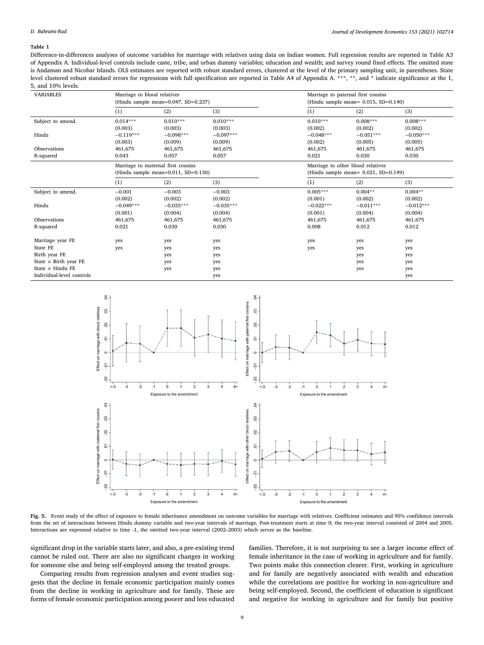#### **Table 1**

Difference-in-differences analyses of outcome variables for marriage with relatives using data on Indian women. Full regression results are reported in Table A3 of Appendix A. Individual-level controls include caste, tribe, and urban dummy variables; education and wealth; and survey round fixed effects. The omitted state is Andaman and Nicobar Islands. OLS estimates are reported with robust standard errors, clustered at the level of the primary sampling unit, in parentheses. State level clustered robust standard errors for regressions with full specification are reported in Table A4 of Appendix A. \*\*\*, \*\*, and \* indicate significance at the 1, 5, and 10% levels.

<span id="page-8-0"></span>

| <b>VARIABLES</b>             | Marriage to blood relatives<br>(Hindu sample mean=0.047, SD=0.237)                |             |             | Marriage to paternal first cousins<br>(Hindu sample mean= $0.015$ , SD= $0.140$ ) |                            |             |  |
|------------------------------|-----------------------------------------------------------------------------------|-------------|-------------|-----------------------------------------------------------------------------------|----------------------------|-------------|--|
|                              | (1)                                                                               | (2)         | (3)         | (1)                                                                               | (2)                        | (3)         |  |
| Subject to amend.            | $0.014***$                                                                        | $0.010***$  | $0.010***$  | $0.010***$                                                                        | $0.008***$                 | $0.008***$  |  |
|                              | (0.003)                                                                           | (0.003)     | (0.003)     | (0.002)                                                                           | (0.002)                    | (0.002)     |  |
| Hindu                        | $-0.119***$                                                                       | $-0.098***$ | $-0.097***$ | $-0.048***$                                                                       | $-0.051***$                | $-0.050***$ |  |
|                              | (0.003)                                                                           | (0.009)     | (0.009)     | (0.002)                                                                           | (0.005)                    | (0.005)     |  |
| Observations                 | 461,675                                                                           | 461,675     | 461,675     | 461,675                                                                           | 461,675                    | 461,675     |  |
| R-squared                    | 0.043                                                                             | 0.057       | 0.057       | 0.021                                                                             | 0.030                      | 0.030       |  |
|                              | Marriage to maternal first cousins<br>(Hindu sample mean= $0.011$ , SD= $0.130$ ) |             |             | Marriage to other blood relatives<br>(Hindu sample mean= $0.021$ , SD= $0.149$ )  |                            |             |  |
|                              | (1)                                                                               | (2)         | (3)         | (1)                                                                               | (2)                        | (3)         |  |
| Subject to amend.            | $-0.001$                                                                          | $-0.003$    | $-0.003$    | $0.005***$                                                                        | $0.004**$                  | $0.004**$   |  |
|                              | (0.002)                                                                           | (0.002)     | (0.002)     | (0.001)                                                                           | (0.002)                    | (0.002)     |  |
| Hindu                        | $-0.049***$                                                                       | $-0.035***$ | $-0.035***$ | $-0.022***$                                                                       | $-0.011***$<br>$-0.012***$ |             |  |
|                              | (0.001)                                                                           | (0.004)     | (0.004)     | (0.001)                                                                           | (0.004)                    | (0.004)     |  |
| Observations                 | 461,675                                                                           | 461,675     | 461.675     | 461,675                                                                           | 461,675                    | 461,675     |  |
| R-squared                    | 0.021                                                                             | 0.030       | 0.030       | 0.008                                                                             | 0.012                      | 0.012       |  |
| Marriage year FE             | yes                                                                               | yes         | yes         | yes                                                                               | yes                        | yes         |  |
| State FE                     | yes                                                                               | yes         | yes         | yes                                                                               | yes                        | yes         |  |
| Birth year FE                |                                                                                   |             |             |                                                                                   |                            |             |  |
| State $\times$ Birth year FE |                                                                                   | yes         | yes         |                                                                                   | yes                        | yes         |  |
| State $\times$ Hindu FE      |                                                                                   | yes         | yes         |                                                                                   | yes                        | yes         |  |
| Individual-level controls    |                                                                                   | yes         | yes         |                                                                                   | yes                        | yes         |  |
|                              |                                                                                   |             | yes         |                                                                                   |                            | yes         |  |



<span id="page-8-1"></span>Fig. 5. Event study of the effect of exposure to female inheritance amendment on outcome variables for marriage with relatives. Coefficient estimates and 95% confidence intervals from the set of interactions between Hindu dummy variable and two-year intervals of marriage. Post-treatment starts at time 0; the two-year interval consisted of 2004 and 2005. Interactions are expressed relative to time -1, the omitted two-year interval (2002–2003) which serves as the baseline.

significant drop in the variable starts later, and also, a pre-existing trend cannot be ruled out. There are also no significant changes in working for someone else and being self-employed among the treated groups.

Comparing results from regression analyses and event studies suggests that the decline in female economic participation mainly comes from the decline in working in agriculture and for family. These are forms of female economic participation among poorer and less educated

families. Therefore, it is not surprising to see a larger income effect of female inheritance in the case of working in agriculture and for family. Two points make this connection clearer. First, working in agriculture and for family are negatively associated with wealth and education while the correlations are positive for working in non-agriculture and being self-employed. Second, the coefficient of education is significant and negative for working in agriculture and for family but positive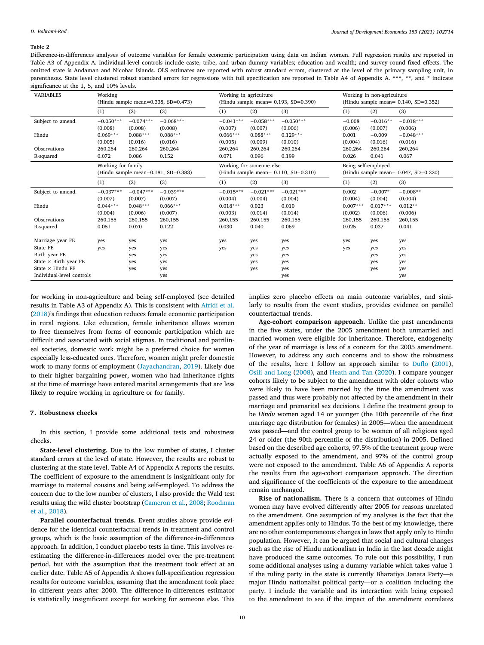#### **Table 2**

Difference-in-differences analyses of outcome variables for female economic participation using data on Indian women. Full regression results are reported in Table A3 of Appendix A. Individual-level controls include caste, tribe, and urban dummy variables; education and wealth; and survey round fixed effects. The omitted state is Andaman and Nicobar Islands. OLS estimates are reported with robust standard errors, clustered at the level of the primary sampling unit, in parentheses. State level clustered robust standard errors for regressions with full specification are reported in Table A4 of Appendix A. \*\*\*, \*\*, and \* indicate significance at the 1, 5, and 10% levels.

<span id="page-9-1"></span>

| <b>VARIABLES</b>             | Working<br>(Hindu sample mean= $0.338$ , SD= $0.473$ )    |             |             | Working in agriculture<br>(Hindu sample mean= 0.193, SD=0.390)          |             |             | Working in non-agriculture<br>(Hindu sample mean= $0.140$ , SD= $0.352$ ) |            |             |
|------------------------------|-----------------------------------------------------------|-------------|-------------|-------------------------------------------------------------------------|-------------|-------------|---------------------------------------------------------------------------|------------|-------------|
|                              | (1)                                                       | (2)         | (3)         | (1)                                                                     | (2)         | (3)         | (1)                                                                       | (2)        | (3)         |
| Subject to amend.            | $-0.050***$                                               | $-0.074***$ | $-0.068***$ | $-0.041***$                                                             | $-0.058***$ | $-0.050***$ | $-0.008$                                                                  | $-0.016**$ | $-0.018***$ |
|                              | (0.008)                                                   | (0.008)     | (0.008)     | (0.007)                                                                 | (0.007)     | (0.006)     | (0.006)                                                                   | (0.007)    | (0.006)     |
| Hindu                        | $0.069***$                                                | $0.088***$  | $0.088***$  | $0.066***$                                                              | $0.088***$  | $0.129***$  | 0.001                                                                     | $-0.009$   | $-0.048***$ |
|                              | (0.005)                                                   | (0.016)     | (0.016)     | (0.005)                                                                 | (0.009)     | (0.010)     | (0.004)                                                                   | (0.016)    | (0.016)     |
| Observations                 | 260,264                                                   | 260,264     | 260,264     | 260,264                                                                 | 260,264     | 260,264     | 260,264                                                                   | 260,264    | 260,264     |
| R-squared                    | 0.072                                                     | 0.086       | 0.152       | 0.071                                                                   | 0.096       | 0.199       | 0.026                                                                     | 0.041      | 0.067       |
|                              | Working for family<br>(Hindu sample mean=0.181, SD=0.383) |             |             | Working for someone else<br>(Hindu sample mean= $0.110$ , SD= $0.310$ ) |             |             | Being self-employed<br>(Hindu sample mean= $0.047$ , SD= $0.220$ )        |            |             |
|                              |                                                           |             |             |                                                                         |             |             |                                                                           |            |             |
|                              | (1)                                                       | (2)         | (3)         | (1)                                                                     | (2)         | (3)         | (1)                                                                       | (2)        | (3)         |
| Subject to amend.            | $-0.037***$                                               | $-0.047***$ | $-0.039***$ | $-0.015***$                                                             | $-0.021***$ | $-0.021***$ | 0.002                                                                     | $-0.007*$  | $-0.008**$  |
|                              | (0.007)                                                   | (0.007)     | (0.007)     | (0.004)                                                                 | (0.004)     | (0.004)     | (0.004)                                                                   | (0.004)    | (0.004)     |
| Hindu                        | $0.044***$                                                | $0.048***$  | $0.066***$  | $0.018***$                                                              | 0.023       | 0.010       | $0.007***$                                                                | $0.017***$ | $0.012**$   |
|                              | (0.004)                                                   | (0.006)     | (0.007)     | (0.003)                                                                 | (0.014)     | (0.014)     | (0.002)                                                                   | (0.006)    | (0.006)     |
| Observations                 | 260,155                                                   | 260,155     | 260,155     | 260,155                                                                 | 260,155     | 260,155     | 260,155                                                                   | 260,155    | 260,155     |
| R-squared                    | 0.051                                                     | 0.070       | 0.122       | 0.030                                                                   | 0.040       | 0.069       | 0.025                                                                     | 0.037      | 0.041       |
| Marriage year FE             | yes                                                       | yes         | yes         | yes                                                                     | yes         | yes         | yes                                                                       | yes        | yes         |
| State FE                     | yes                                                       | yes         | yes         | yes                                                                     | yes         | yes         | yes                                                                       | yes        | yes         |
| Birth year FE                |                                                           | yes         | yes         |                                                                         | yes         | yes         |                                                                           | yes        | yes         |
| State $\times$ Birth year FE |                                                           | yes         | yes         |                                                                         | yes         | yes         |                                                                           | yes        | yes         |
| State $\times$ Hindu FE      |                                                           | yes         | yes         |                                                                         | yes         | yes         |                                                                           | yes        | yes         |
| Individual-level controls    |                                                           |             | yes         |                                                                         |             | yes         |                                                                           |            | yes         |

for working in non-agriculture and being self-employed (see detailed results in Table A3 of Appendix A). This is consistent with [Afridi et al.](#page-11-0) ([2018\)](#page-11-0)'s findings that education reduces female economic participation in rural regions. Like education, female inheritance allows women to free themselves from forms of economic participation which are difficult and associated with social stigmas. In traditional and patrilineal societies, domestic work might be a preferred choice for women especially less-educated ones. Therefore, women might prefer domestic work to many forms of employment([Jayachandran](#page-12-57), [2019\)](#page-12-57). Likely due to their higher bargaining power, women who had inheritance rights at the time of marriage have entered marital arrangements that are less likely to require working in agriculture or for family.

# **7. Robustness checks**

<span id="page-9-0"></span>In this section, I provide some additional tests and robustness checks.

**State-level clustering.** Due to the low number of states, I cluster standard errors at the level of state. However, the results are robust to clustering at the state level. Table A4 of Appendix A reports the results. The coefficient of exposure to the amendment is insignificant only for marriage to maternal cousins and being self-employed. To address the concern due to the low number of clusters, I also provide the Wald test results using the wild cluster bootstrap([Cameron et al.,](#page-12-58) [2008;](#page-12-58) [Roodman](#page-13-21) [et al.,](#page-13-21) [2018](#page-13-21)).

**Parallel counterfactual trends.** Event studies above provide evidence for the identical counterfactual trends in treatment and control groups, which is the basic assumption of the difference-in-differences approach. In addition, I conduct placebo tests in time. This involves reestimating the difference-in-differences model over the pre-treatment period, but with the assumption that the treatment took effect at an earlier date. Table A5 of Appendix A shows full-specification regression results for outcome variables, assuming that the amendment took place in different years after 2000. The difference-in-differences estimator is statistically insignificant except for working for someone else. This

implies zero placebo effects on main outcome variables, and similarly to results from the event studies, provides evidence on parallel counterfactual trends.

**Age-cohort comparison approach.** Unlike the past amendments in the five states, under the 2005 amendment both unmarried and married women were eligible for inheritance. Therefore, endogeneity of the year of marriage is less of a concern for the 2005 amendment. However, to address any such concerns and to show the robustness of the results, here I follow an approach similar to [Duflo](#page-12-59) ([2001](#page-12-59)), [Osili and Long](#page-13-22) [\(2008](#page-13-22)), and [Heath and Tan](#page-12-2) ([2020\)](#page-12-2). I compare younger cohorts likely to be subject to the amendment with older cohorts who were likely to have been married by the time the amendment was passed and thus were probably not affected by the amendment in their marriage and premarital sex decisions. I define the treatment group to be *Hindu* women aged 14 or younger (the 10th percentile of the first marriage age distribution for females) in 2005—when the amendment was passed—and the control group to be women of all religions aged 24 or older (the 90th percentile of the distribution) in 2005. Defined based on the described age cohorts, 97.5% of the treatment group were actually exposed to the amendment, and 97% of the control group were not exposed to the amendment. Table A6 of Appendix A reports the results from the age-cohort comparison approach. The direction and significance of the coefficients of the exposure to the amendment remain unchanged.

**Rise of nationalism.** There is a concern that outcomes of Hindu women may have evolved differently after 2005 for reasons unrelated to the amendment. One assumption of my analyses is the fact that the amendment applies only to Hindus. To the best of my knowledge, there are no other contemporaneous changes in laws that apply only to Hindu population. However, it can be argued that social and cultural changes such as the rise of Hindu nationalism in India in the last decade might have produced the same outcomes. To rule out this possibility, I run some additional analyses using a dummy variable which takes value 1 if the ruling party in the state is currently Bharatiya Janata Party—a major Hindu nationalist political party—or a coalition including the party. I include the variable and its interaction with being exposed to the amendment to see if the impact of the amendment correlates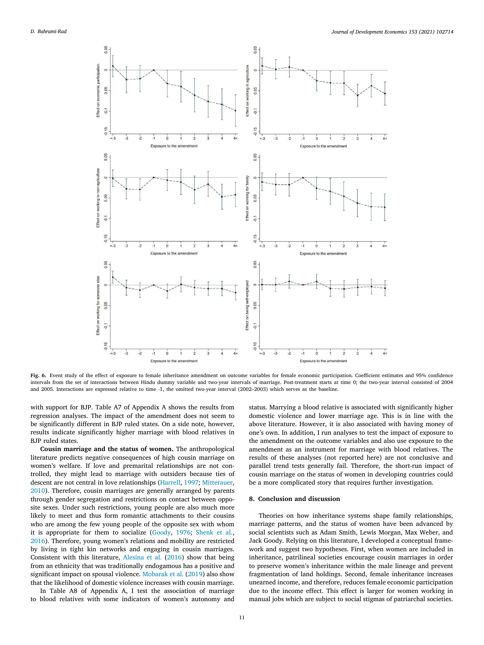

<span id="page-10-1"></span>**Fig. 6.** Event study of the effect of exposure to female inheritance amendment on outcome variables for female economic participation. Coefficient estimates and 95% confidence intervals from the set of interactions between Hindu dummy variable and two-year intervals of marriage. Post-treatment starts at time 0; the two-year interval consisted of 2004 and 2005. Interactions are expressed relative to time -1, the omitted two-year interval (2002–2003) which serves as the baseline.

with support for BJP. Table A7 of Appendix A shows the results from regression analyses. The impact of the amendment does not seem to be significantly different in BJP ruled states. On a side note, however, results indicate significantly higher marriage with blood relatives in BJP ruled states.

**Cousin marriage and the status of women.** The anthropological literature predicts negative consequences of high cousin marriage on women's welfare. If love and premarital relationships are not controlled, they might lead to marriage with outsiders because ties of descent are not central in love relationships [\(Harrell,](#page-12-60) [1997](#page-12-60); [Mitterauer](#page-12-61), [2010\)](#page-12-61). Therefore, cousin marriages are generally arranged by parents through gender segregation and restrictions on contact between opposite sexes. Under such restrictions, young people are also much more likely to meet and thus form romantic attachments to their cousins who are among the few young people of the opposite sex with whom it is appropriate for them to socialize [\(Goody](#page-12-4), [1976;](#page-12-4) [Shenk et al.](#page-13-9), [2016\)](#page-13-9). Therefore, young women's relations and mobility are restricted by living in tight kin networks and engaging in cousin marriages. Consistent with this literature, [Alesina et al.](#page-11-9) ([2016\)](#page-11-9) show that being from an ethnicity that was traditionally endogamous has a positive and significant impact on spousal violence. [Mobarak et al.](#page-12-46) [\(2019](#page-12-46)) also show that the likelihood of domestic violence increases with cousin marriage.

In Table A8 of Appendix A, I test the association of marriage to blood relatives with some indicators of women's autonomy and status. Marrying a blood relative is associated with significantly higher domestic violence and lower marriage age. This is in line with the above literature. However, it is also associated with having money of one's own. In addition, I run analyses to test the impact of exposure to the amendment on the outcome variables and also use exposure to the amendment as an instrument for marriage with blood relatives. The results of these analyses (not reported here) are not conclusive and parallel trend tests generally fail. Therefore, the short-run impact of cousin marriage on the status of women in developing countries could be a more complicated story that requires further investigation.

## **8. Conclusion and discussion**

<span id="page-10-0"></span>Theories on how inheritance systems shape family relationships, marriage patterns, and the status of women have been advanced by social scientists such as Adam Smith, Lewis Morgan, Max Weber, and Jack Goody. Relying on this literature, I developed a conceptual framework and suggest two hypotheses. First, when women are included in inheritance, patrilineal societies encourage cousin marriages in order to preserve women's inheritance within the male lineage and prevent fragmentation of land holdings. Second, female inheritance increases unearned income, and therefore, reduces female economic participation due to the income effect. This effect is larger for women working in manual jobs which are subject to social stigmas of patriarchal societies.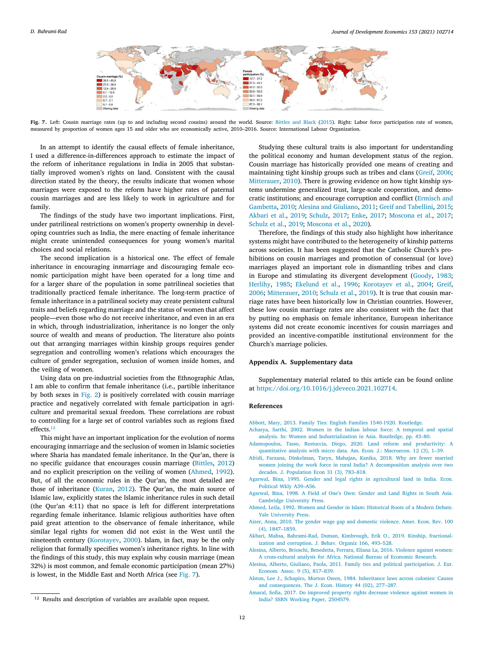

<span id="page-11-12"></span>**Fig. 7.** Left: Cousin marriage rates (up to and including second cousins) around the world. Source: [Bittles and Black](#page-12-62) [\(2015\)](#page-12-62). Right: Labor force participation rate of women, measured by proportion of women ages 15 and older who are economically active, 2010–2016. Source: International Labour Organization.

In an attempt to identify the causal effects of female inheritance, I used a difference-in-differences approach to estimate the impact of the reform of inheritance regulations in India in 2005 that substantially improved women's rights on land. Consistent with the causal direction stated by the theory, the results indicate that women whose marriages were exposed to the reform have higher rates of paternal cousin marriages and are less likely to work in agriculture and for family.

The findings of the study have two important implications. First, under patrilineal restrictions on women's property ownership in developing countries such as India, the mere enacting of female inheritance might create unintended consequences for young women's marital choices and social relations.

The second implication is a historical one. The effect of female inheritance in encouraging inmarriage and discouraging female economic participation might have been operated for a long time and for a larger share of the population in some patrilineal societies that traditionally practiced female inheritance. The long-term practice of female inheritance in a patrilineal society may create persistent cultural traits and beliefs regarding marriage and the status of women that affect people—even those who do not receive inheritance, and even in an era in which, through industrialization, inheritance is no longer the only source of wealth and means of production. The literature also points out that arranging marriages within kinship groups requires gender segregation and controlling women's relations which encourages the culture of gender segregation, seclusion of women inside homes, and the veiling of women.

Using data on pre-industrial societies from the Ethnographic Atlas, I am able to confirm that female inheritance (i.e., partible inheritance by both sexes in [Fig. 2\)](#page-3-1) is positively correlated with cousin marriage practice and negatively correlated with female participation in agriculture and premarital sexual freedom. These correlations are robust to controlling for a large set of control variables such as regions fixed effects.[12](#page-11-10)

<span id="page-11-10"></span>This might have an important implication for the evolution of norms encouraging inmarriage and the seclusion of women in Islamic societies where Sharia has mandated female inheritance. In the Qur'an, there is no specific guidance that encourages cousin marriage([Bittles](#page-12-63), [2012\)](#page-12-63) and no explicit prescription on the veiling of women [\(Ahmed](#page-11-11), [1992](#page-11-11)). But, of all the economic rules in the Qur'an, the most detailed are those of inheritance [\(Kuran,](#page-12-30) [2012\)](#page-12-30). The Qur'an, the main source of Islamic law, explicitly states the Islamic inheritance rules in such detail (the Qur'an 4:11) that no space is left for different interpretations regarding female inheritance. Islamic religious authorities have often paid great attention to the observance of female inheritance, while similar legal rights for women did not exist in the West until the nineteenth century([Korotayev,](#page-12-5) [2000\)](#page-12-5). Islam, in fact, may be the only religion that formally specifies women's inheritance rights. In line with the findings of this study, this may explain why cousin marriage (mean 32%) is most common, and female economic participation (mean 27%) is lowest, in the Middle East and North Africa (see [Fig. 7](#page-11-12)).

Studying these cultural traits is also important for understanding the political economy and human development status of the region. Cousin marriage has historically provided one means of creating and maintaining tight kinship groups such as tribes and clans [\(Greif,](#page-12-64) [2006](#page-12-64); [Mitterauer](#page-12-61), [2010\)](#page-12-61). There is growing evidence on how tight kinship systems undermine generalized trust, large-scale cooperation, and democratic institutions; and encourage corruption and conflict([Ermisch and](#page-12-65) [Gambetta,](#page-12-65) [2010](#page-12-65); [Alesina and Giuliano,](#page-11-13) [2011;](#page-11-13) [Greif and Tabellini](#page-12-66), [2015](#page-12-66); [Akbari et al.](#page-11-14), [2019](#page-11-14); [Schulz,](#page-13-23) [2017](#page-13-23); [Enke](#page-12-67), [2017;](#page-12-67) [Moscona et al.](#page-13-24), [2017](#page-13-24); [Schulz et al.](#page-13-25), [2019](#page-13-25); [Moscona et al.,](#page-13-26) [2020](#page-13-26)).

Therefore, the findings of this study also highlight how inheritance systems might have contributed to the heterogeneity of kinship patterns across societies. It has been suggested that the Catholic Church's prohibitions on cousin marriages and promotion of consensual (or love) marriages played an important role in dismantling tribes and clans inEurope and stimulating its divergent development ([Goody](#page-12-68), [1983](#page-12-68); [Herlihy](#page-12-69), [1985;](#page-12-69) [Ekelund et al.](#page-12-70), [1996;](#page-12-70) [Korotayev et al.](#page-12-71), [2004](#page-12-71); [Greif](#page-12-64), [2006;](#page-12-64) [Mitterauer,](#page-12-61) [2010](#page-12-61); [Schulz et al.,](#page-13-25) [2019\)](#page-13-25). It is true that cousin marriage rates have been historically low in Christian countries. However, these low cousin marriage rates are also consistent with the fact that by putting no emphasis on female inheritance, European inheritance systems did not create economic incentives for cousin marriages and provided an incentive-compatible institutional environment for the Church's marriage policies.

# **Appendix A. Supplementary data**

Supplementary material related to this article can be found online at [https://doi.org/10.1016/j.jdeveco.2021.102714.](https://doi.org/10.1016/j.jdeveco.2021.102714)

# **References**

- <span id="page-11-6"></span>[Abbott, Mary, 2013. Family Ties: English Families 1540-1920. Routledge.](http://refhub.elsevier.com/S0304-3878(21)00088-2/sb1)
- <span id="page-11-7"></span>[Acharya, Sarthi, 2002. Women in the Indian labour force: A temporal and spatial](http://refhub.elsevier.com/S0304-3878(21)00088-2/sb2) [analysis. In: Women and Industrialization in Asia. Routledge, pp. 43–80.](http://refhub.elsevier.com/S0304-3878(21)00088-2/sb2)
- <span id="page-11-4"></span>[Adamopoulos, Tasso, Restuccia, Diego, 2020. Land reform and productivity: A](http://refhub.elsevier.com/S0304-3878(21)00088-2/sb3) [quantitative analysis with micro data. Am. Econ. J.: Macroecon. 12 \(3\), 1–39.](http://refhub.elsevier.com/S0304-3878(21)00088-2/sb3)
- <span id="page-11-0"></span>[Afridi, Farzana, Dinkelman, Taryn, Mahajan, Kanika, 2018. Why are fewer married](http://refhub.elsevier.com/S0304-3878(21)00088-2/sb4) [women joining the work force in rural India? A decomposition analysis over two](http://refhub.elsevier.com/S0304-3878(21)00088-2/sb4) [decades. J. Population Econ 31 \(3\), 783–818.](http://refhub.elsevier.com/S0304-3878(21)00088-2/sb4)
- <span id="page-11-8"></span>[Agarwal, Bina, 1995. Gender and legal rights in agricultural land in India. Econ.](http://refhub.elsevier.com/S0304-3878(21)00088-2/sb5) [Political Wkly A39–A56.](http://refhub.elsevier.com/S0304-3878(21)00088-2/sb5)
- <span id="page-11-5"></span>[Agarwal, Bina, 1998. A Field of One's Own: Gender and Land Rights in South Asia.](http://refhub.elsevier.com/S0304-3878(21)00088-2/sb6) [Cambridge University Press.](http://refhub.elsevier.com/S0304-3878(21)00088-2/sb6)
- <span id="page-11-11"></span>[Ahmed, Leila, 1992. Women and Gender in Islam: Historical Roots of a Modern Debate.](http://refhub.elsevier.com/S0304-3878(21)00088-2/sb7) [Yale University Press.](http://refhub.elsevier.com/S0304-3878(21)00088-2/sb7)
- <span id="page-11-1"></span>[Aizer, Anna, 2010. The gender wage gap and domestic violence. Amer. Econ. Rev. 100](http://refhub.elsevier.com/S0304-3878(21)00088-2/sb8) [\(4\), 1847–1859.](http://refhub.elsevier.com/S0304-3878(21)00088-2/sb8)
- <span id="page-11-14"></span>[Akbari, Mahsa, Bahrami-Rad, Duman, Kimbrough, Erik O., 2019. Kinship, fractional](http://refhub.elsevier.com/S0304-3878(21)00088-2/sb9)[ization and corruption. J. Behav. Organiz 166, 493–528.](http://refhub.elsevier.com/S0304-3878(21)00088-2/sb9)
- <span id="page-11-9"></span>[Alesina, Alberto, Brioschi, Benedetta, Ferrara, Eliana La, 2016. Violence against women:](http://refhub.elsevier.com/S0304-3878(21)00088-2/sb10) [A cross-cultural analysis for Africa. National Bureau of Economic Research.](http://refhub.elsevier.com/S0304-3878(21)00088-2/sb10)
- <span id="page-11-13"></span>[Alesina, Alberto, Giuliano, Paola, 2011. Family ties and political participation. J. Eur.](http://refhub.elsevier.com/S0304-3878(21)00088-2/sb11) [Econom. Assoc. 9 \(5\), 817–839.](http://refhub.elsevier.com/S0304-3878(21)00088-2/sb11)

<span id="page-11-3"></span>[Alston, Lee J., Schapiro, Morton Owen, 1984. Inheritance laws across colonies: Causes](http://refhub.elsevier.com/S0304-3878(21)00088-2/sb12) [and consequences. The J. Econ. History 44 \(02\), 277–287.](http://refhub.elsevier.com/S0304-3878(21)00088-2/sb12)

<span id="page-11-2"></span>[Amaral, Sofia, 2017. Do improved property rights decrease violence against women in](http://refhub.elsevier.com/S0304-3878(21)00088-2/sb13) [India? SSRN Working Paper, 2504579.](http://refhub.elsevier.com/S0304-3878(21)00088-2/sb13)

<sup>12</sup> Results and description of variables are available upon request.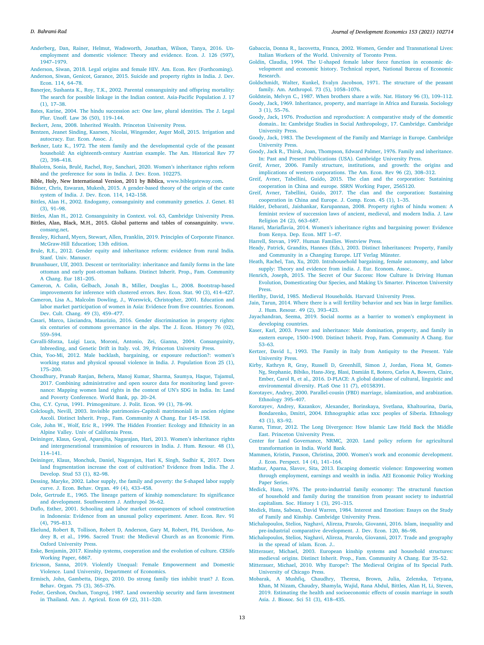#### *D. Bahrami-Rad*

- <span id="page-12-9"></span>[Anderberg, Dan, Rainer, Helmut, Wadsworth, Jonathan, Wilson, Tanya, 2016. Un](http://refhub.elsevier.com/S0304-3878(21)00088-2/sb14)[employment and domestic violence: Theory and evidence. Econ. J. 126 \(597\),](http://refhub.elsevier.com/S0304-3878(21)00088-2/sb14) [1947–1979.](http://refhub.elsevier.com/S0304-3878(21)00088-2/sb14)
- <span id="page-12-14"></span><span id="page-12-3"></span>[Anderson, Siwan, 2018. Legal origins and female HIV. Am. Econ. Rev \(Forthcoming\).](http://refhub.elsevier.com/S0304-3878(21)00088-2/sb15) [Anderson, Siwan, Genicot, Garance, 2015. Suicide and property rights in India. J. Dev.](http://refhub.elsevier.com/S0304-3878(21)00088-2/sb16)
- <span id="page-12-56"></span>[Econ. 114, 64–78.](http://refhub.elsevier.com/S0304-3878(21)00088-2/sb16) [Banerjee, Sushanta K., Roy, T.K., 2002. Parental consanguinity and offspring mortality:](http://refhub.elsevier.com/S0304-3878(21)00088-2/sb17) [The search for possible linkage in the Indian context. Asia-Pacific Population J. 17](http://refhub.elsevier.com/S0304-3878(21)00088-2/sb17)  $(1)$ ,  $17-38$
- <span id="page-12-52"></span>[Bates, Karine, 2004. The hindu succession act: One law, plural identities. The J. Legal](http://refhub.elsevier.com/S0304-3878(21)00088-2/sb18) [Plur. Unoff. Law 36 \(50\), 119–144.](http://refhub.elsevier.com/S0304-3878(21)00088-2/sb18)
- <span id="page-12-29"></span>[Beckert, Jens, 2008. Inherited Wealth. Princeton University Press.](http://refhub.elsevier.com/S0304-3878(21)00088-2/sb19)
- <span id="page-12-31"></span>[Bentzen, Jeanet Sinding, Kaarsen, Nicolai, Wingender, Asger Moll, 2015. Irrigation and](http://refhub.elsevier.com/S0304-3878(21)00088-2/sb20) [autocracy. Eur. Econ. Assoc. J.](http://refhub.elsevier.com/S0304-3878(21)00088-2/sb20)
- <span id="page-12-17"></span>[Berkner, Lutz K., 1972. The stem family and the developmental cycle of the peasant](http://refhub.elsevier.com/S0304-3878(21)00088-2/sb21) [household: An eighteenth-century Austrian example. The Am. Historical Rev 77](http://refhub.elsevier.com/S0304-3878(21)00088-2/sb21) [\(2\), 398–418.](http://refhub.elsevier.com/S0304-3878(21)00088-2/sb21)
- <span id="page-12-12"></span>[Bhalotra, Sonia, Brulé, Rachel, Roy, Sanchari, 2020. Women's inheritance rights reform](http://refhub.elsevier.com/S0304-3878(21)00088-2/sb22) [and the preference for sons in India. J. Dev. Econ. 102275.](http://refhub.elsevier.com/S0304-3878(21)00088-2/sb22)
- <span id="page-12-0"></span>Bible, Holy, New International Version, 2011 by Biblica, [www.biblegateway.com](http://www.biblegateway.com).
- <span id="page-12-47"></span>[Bidner, Chris, Eswaran, Mukesh, 2015. A gender-based theory of the origin of the caste](http://refhub.elsevier.com/S0304-3878(21)00088-2/sb24) [system of India. J. Dev. Econ. 114, 142–158.](http://refhub.elsevier.com/S0304-3878(21)00088-2/sb24)
- <span id="page-12-55"></span>[Bittles, Alan H., 2002. Endogamy, consanguinity and community genetics. J. Genet. 81](http://refhub.elsevier.com/S0304-3878(21)00088-2/sb25) [\(3\), 91–98.](http://refhub.elsevier.com/S0304-3878(21)00088-2/sb25)
- <span id="page-12-63"></span>[Bittles, Alan H., 2012. Consanguinity in Context. vol. 63, Cambridge University Press.](http://refhub.elsevier.com/S0304-3878(21)00088-2/sb26)
- <span id="page-12-62"></span>Bittles, Alan, Black, M.H., 2015. Global patterns and tables of consanguinity. [www.](http://www.consang.net) [consang.net](http://www.consang.net).
- <span id="page-12-40"></span>[Brealey, Richard, Myers, Stewart, Allen, Franklin, 2019. Principles of Corporate Finance.](http://refhub.elsevier.com/S0304-3878(21)00088-2/sb28) [McGraw-Hill Education; 13th edition.](http://refhub.elsevier.com/S0304-3878(21)00088-2/sb28)
- <span id="page-12-53"></span>[Brule, R.E., 2012. Gender equity and inheritance reform: evidence from rural India.](http://refhub.elsevier.com/S0304-3878(21)00088-2/sb29) [Stanf. Univ. Manuscr.](http://refhub.elsevier.com/S0304-3878(21)00088-2/sb29)
- <span id="page-12-34"></span>[Brunnbauer, Ulf, 2003. Descent or territoriality: inheritance and family forms in the late](http://refhub.elsevier.com/S0304-3878(21)00088-2/sb30) [ottoman and early post-ottoman balkans. Distinct Inherit. Prop., Fam. Community](http://refhub.elsevier.com/S0304-3878(21)00088-2/sb30) [A Chang. Eur 181–205.](http://refhub.elsevier.com/S0304-3878(21)00088-2/sb30)
- <span id="page-12-58"></span>[Cameron, A. Colin, Gelbach, Jonah B., Miller, Douglas L., 2008. Bootstrap-based](http://refhub.elsevier.com/S0304-3878(21)00088-2/sb31) [improvements for inference with clustered errors. Rev. Econ. Stat. 90 \(3\), 414–427.](http://refhub.elsevier.com/S0304-3878(21)00088-2/sb31)
- <span id="page-12-8"></span>[Cameron, Lisa A., Malcolm Dowling, J., Worswick, Christopher, 2001. Education and](http://refhub.elsevier.com/S0304-3878(21)00088-2/sb32) [labor market participation of women in Asia: Evidence from five countries. Econom.](http://refhub.elsevier.com/S0304-3878(21)00088-2/sb32) [Dev. Cult. Chang. 49 \(3\), 459–477.](http://refhub.elsevier.com/S0304-3878(21)00088-2/sb32)
- <span id="page-12-35"></span>[Casari, Marco, Lisciandra, Maurizio, 2016. Gender discrimination in property rights:](http://refhub.elsevier.com/S0304-3878(21)00088-2/sb33) [six centuries of commons governance in the alps. The J. Econ. History 76 \(02\),](http://refhub.elsevier.com/S0304-3878(21)00088-2/sb33) [559–594.](http://refhub.elsevier.com/S0304-3878(21)00088-2/sb33)
- <span id="page-12-45"></span>[Cavalli-Sforza, Luigi Luca, Moroni, Antonio, Zei, Gianna, 2004. Consanguinity,](http://refhub.elsevier.com/S0304-3878(21)00088-2/sb34) [Inbreeding, and Genetic Drift in Italy. vol. 39, Princeton University Press.](http://refhub.elsevier.com/S0304-3878(21)00088-2/sb34)
- <span id="page-12-13"></span>[Chin, Yoo-Mi, 2012. Male backlash, bargaining, or exposure reduction?: women's](http://refhub.elsevier.com/S0304-3878(21)00088-2/sb35) [working status and physical spousal violence in India. J. Population Econ 25 \(1\),](http://refhub.elsevier.com/S0304-3878(21)00088-2/sb35) [175–200.](http://refhub.elsevier.com/S0304-3878(21)00088-2/sb35)
- <span id="page-12-51"></span>[Choudhury, Pranab Ranjan, Behera, Manoj Kumar, Sharma, Saumya, Haque, Tajamul,](http://refhub.elsevier.com/S0304-3878(21)00088-2/sb36) [2017. Combining administrative and open source data for monitoring land gover](http://refhub.elsevier.com/S0304-3878(21)00088-2/sb36)[nance: Mapping women land rights in the context of UN's SDG in India. In: Land](http://refhub.elsevier.com/S0304-3878(21)00088-2/sb36) [and Poverty Conference. World Bank, pp. 20–24.](http://refhub.elsevier.com/S0304-3878(21)00088-2/sb36)
- <span id="page-12-21"></span>[Chu, C.Y. Cyrus, 1991. Primogeniture. J. Polit. Econ. 99 \(1\), 78–99.](http://refhub.elsevier.com/S0304-3878(21)00088-2/sb37)
- <span id="page-12-44"></span>[Colclough, Nevill, 2003. Invisible patrimonies–Capitoli matrimoniali in ancien régime](http://refhub.elsevier.com/S0304-3878(21)00088-2/sb38) [Ascoli. Distinct Inherit. Prop., Fam. Community A Chang. Eur 145–158.](http://refhub.elsevier.com/S0304-3878(21)00088-2/sb38)
- <span id="page-12-42"></span>[Cole, John W., Wolf, Eric R., 1999. The Hidden Frontier: Ecology and Ethnicity in an](http://refhub.elsevier.com/S0304-3878(21)00088-2/sb39) [Alpine Valley. Univ of California Press.](http://refhub.elsevier.com/S0304-3878(21)00088-2/sb39)
- <span id="page-12-1"></span>[Deininger, Klaus, Goyal, Aparajita, Nagarajan, Hari, 2013. Women's inheritance rights](http://refhub.elsevier.com/S0304-3878(21)00088-2/sb40) [and intergenerational transmission of resources in India. J. Hum. Resour. 48 \(1\),](http://refhub.elsevier.com/S0304-3878(21)00088-2/sb40) [114–141.](http://refhub.elsevier.com/S0304-3878(21)00088-2/sb40)
- <span id="page-12-38"></span>[Deininger, Klaus, Monchuk, Daniel, Nagarajan, Hari K, Singh, Sudhir K, 2017. Does](http://refhub.elsevier.com/S0304-3878(21)00088-2/sb41) [land fragmentation increase the cost of cultivation? Evidence from India. The J.](http://refhub.elsevier.com/S0304-3878(21)00088-2/sb41) [Develop. Stud 53 \(1\), 82–98.](http://refhub.elsevier.com/S0304-3878(21)00088-2/sb41)
- <span id="page-12-48"></span>[Dessing, Maryke, 2002. Labor supply, the family and poverty: the S-shaped labor supply](http://refhub.elsevier.com/S0304-3878(21)00088-2/sb42) [curve. J. Econ. Behav. Organ. 49 \(4\), 433–458.](http://refhub.elsevier.com/S0304-3878(21)00088-2/sb42)
- <span id="page-12-16"></span>[Dole, Gertrude E., 1965. The lineage pattern of kinship nomenclature: Its significance](http://refhub.elsevier.com/S0304-3878(21)00088-2/sb43) [and development. Southwestern J. Anthropol 36–62.](http://refhub.elsevier.com/S0304-3878(21)00088-2/sb43)
- <span id="page-12-59"></span>[Duflo, Esther, 2001. Schooling and labor market consequences of school construction](http://refhub.elsevier.com/S0304-3878(21)00088-2/sb44) [in Indonesia: Evidence from an unusual policy experiment. Amer. Econ. Rev. 91](http://refhub.elsevier.com/S0304-3878(21)00088-2/sb44) [\(4\), 795–813.](http://refhub.elsevier.com/S0304-3878(21)00088-2/sb44)
- <span id="page-12-70"></span>[Ekelund, Robert B, Tollison, Robert D, Anderson, Gary M, Robert, FH, Davidson, Au](http://refhub.elsevier.com/S0304-3878(21)00088-2/sb45)[drey B, et al., 1996. Sacred Trust: the Medieval Church as an Economic Firm.](http://refhub.elsevier.com/S0304-3878(21)00088-2/sb45) [Oxford University Press.](http://refhub.elsevier.com/S0304-3878(21)00088-2/sb45)
- <span id="page-12-67"></span>[Enke, Benjamin, 2017. Kinship systems, cooperation and the evolution of culture. CESifo](http://refhub.elsevier.com/S0304-3878(21)00088-2/sb46) [Working Paper, 6867.](http://refhub.elsevier.com/S0304-3878(21)00088-2/sb46)
- <span id="page-12-15"></span>[Ericsson, Sanna, 2019. Violently Unequal: Female Empowerment and Domestic](http://refhub.elsevier.com/S0304-3878(21)00088-2/sb47) [Violence. Lund University, Department of Economics.](http://refhub.elsevier.com/S0304-3878(21)00088-2/sb47)
- <span id="page-12-65"></span>[Ermisch, John, Gambetta, Diego, 2010. Do strong family ties inhibit trust? J. Econ.](http://refhub.elsevier.com/S0304-3878(21)00088-2/sb48) [Behav. Organ. 75 \(3\), 365–376.](http://refhub.elsevier.com/S0304-3878(21)00088-2/sb48)
- <span id="page-12-39"></span>[Feder, Gershon, Onchan, Tongroj, 1987. Land ownership security and farm investment](http://refhub.elsevier.com/S0304-3878(21)00088-2/sb49) [in Thailand. Am. J. Agricul. Econ 69 \(2\), 311–320.](http://refhub.elsevier.com/S0304-3878(21)00088-2/sb49)
- <span id="page-12-43"></span>[Gabaccia, Donna R., Iacovetta, Franca, 2002. Women, Gender and Transnational Lives:](http://refhub.elsevier.com/S0304-3878(21)00088-2/sb50) [Italian Workers of the World. University of Toronto Press.](http://refhub.elsevier.com/S0304-3878(21)00088-2/sb50)
- <span id="page-12-7"></span>[Goldin, Claudia, 1994. The U-shaped female labor force function in economic de](http://refhub.elsevier.com/S0304-3878(21)00088-2/sb51)[velopment and economic history. Technical report, National Bureau of Economic](http://refhub.elsevier.com/S0304-3878(21)00088-2/sb51) [Research.](http://refhub.elsevier.com/S0304-3878(21)00088-2/sb51)
- <span id="page-12-26"></span>[Goldschmidt, Walter, Kunkel, Evalyn Jacobson, 1971. The structure of the peasant](http://refhub.elsevier.com/S0304-3878(21)00088-2/sb52) [family. Am. Anthropol. 73 \(5\), 1058–1076.](http://refhub.elsevier.com/S0304-3878(21)00088-2/sb52)
- <span id="page-12-24"></span><span id="page-12-22"></span>[Goldstein, Melvyn C., 1987. When brothers share a wife. Nat. History 96 \(3\), 109–112.](http://refhub.elsevier.com/S0304-3878(21)00088-2/sb53) [Goody, Jack, 1969. Inheritance, property, and marriage in Africa and Eurasia. Sociology](http://refhub.elsevier.com/S0304-3878(21)00088-2/sb54) [3 \(1\), 55–76.](http://refhub.elsevier.com/S0304-3878(21)00088-2/sb54)
- <span id="page-12-4"></span>[Goody, Jack, 1976. Production and reproduction: A comparative study of the domestic](http://refhub.elsevier.com/S0304-3878(21)00088-2/sb55) [domain.. In: Cambridge Studies in Social Anthropology, 17. Cambridge. Cambridge](http://refhub.elsevier.com/S0304-3878(21)00088-2/sb55) [University Press.](http://refhub.elsevier.com/S0304-3878(21)00088-2/sb55)
- <span id="page-12-68"></span>[Goody, Jack, 1983. The Development of the Family and Marriage in Europe. Cambridge](http://refhub.elsevier.com/S0304-3878(21)00088-2/sb56) [University Press.](http://refhub.elsevier.com/S0304-3878(21)00088-2/sb56)
- <span id="page-12-18"></span>[Goody, Jack R., Thirsk, Joan, Thompson, Edward Palmer, 1976. Family and inheritance.](http://refhub.elsevier.com/S0304-3878(21)00088-2/sb57) [In: Past and Present Publications \(USA\). Cambridge University Press.](http://refhub.elsevier.com/S0304-3878(21)00088-2/sb57)
- <span id="page-12-64"></span>[Greif, Avner, 2006. Family structure, institutions, and growth: the origins and](http://refhub.elsevier.com/S0304-3878(21)00088-2/sb58) [implications of western corporations. The Am. Econ. Rev 96 \(2\), 308–312.](http://refhub.elsevier.com/S0304-3878(21)00088-2/sb58)
- <span id="page-12-66"></span>[Greif, Avner, Tabellini, Guido, 2015. The clan and the corporation: Sustaining](http://refhub.elsevier.com/S0304-3878(21)00088-2/sb59) [cooperation in China and europe. SSRN Working Paper, 2565120.](http://refhub.elsevier.com/S0304-3878(21)00088-2/sb59)
- <span id="page-12-37"></span>[Greif, Avner, Tabellini, Guido, 2017. The clan and the corporation: Sustaining](http://refhub.elsevier.com/S0304-3878(21)00088-2/sb60) [cooperation in China and Europe. J. Comp. Econ. 45 \(1\), 1–35.](http://refhub.elsevier.com/S0304-3878(21)00088-2/sb60)
- <span id="page-12-50"></span>[Halder, Debarati, Jaishankar, Karupannan, 2008. Property rights of hindu women: A](http://refhub.elsevier.com/S0304-3878(21)00088-2/sb61) [feminist review of succession laws of ancient, medieval, and modern India. J. Law](http://refhub.elsevier.com/S0304-3878(21)00088-2/sb61) [Religion 24 \(2\), 663–687.](http://refhub.elsevier.com/S0304-3878(21)00088-2/sb61)
- <span id="page-12-11"></span>[Harari, Mariaflavia, 2014. Women's inheritance rights and bargaining power: Evidence](http://refhub.elsevier.com/S0304-3878(21)00088-2/sb62) [from Kenya. Dep. Econ. MIT 1–47.](http://refhub.elsevier.com/S0304-3878(21)00088-2/sb62)
- <span id="page-12-60"></span>[Harrell, Stevan, 1997. Human Families. Westview Press.](http://refhub.elsevier.com/S0304-3878(21)00088-2/sb63)
- <span id="page-12-25"></span>[Heady, Patrick, Grandits, Hannes \(Eds.\), 2003. Distinct Inheritances: Property, Family](http://refhub.elsevier.com/S0304-3878(21)00088-2/sb64) [and Community in a Changing Europe. LIT Verlag Münster.](http://refhub.elsevier.com/S0304-3878(21)00088-2/sb64)
- <span id="page-12-2"></span>[Heath, Rachel, Tan, Xu, 2020. Intrahousehold bargaining, female autonomy, and labor](http://refhub.elsevier.com/S0304-3878(21)00088-2/sb65) [supply: Theory and evidence from india. J. Eur. Econom. Assoc..](http://refhub.elsevier.com/S0304-3878(21)00088-2/sb65)
- <span id="page-12-36"></span>[Henrich, Joseph, 2015. The Secret of Our Success: How Culture Is Driving Human](http://refhub.elsevier.com/S0304-3878(21)00088-2/sb66) [Evolution, Domesticating Our Species, and Making Us Smarter. Princeton University](http://refhub.elsevier.com/S0304-3878(21)00088-2/sb66) **Press**
- <span id="page-12-69"></span>[Herlihy, David, 1985. Medieval Households. Harvard University Press.](http://refhub.elsevier.com/S0304-3878(21)00088-2/sb67)
- <span id="page-12-6"></span>[Jain, Tarun, 2014. Where there is a will fertility behavior and sex bias in large families.](http://refhub.elsevier.com/S0304-3878(21)00088-2/sb68) [J. Hum. Resour. 49 \(2\), 393–423.](http://refhub.elsevier.com/S0304-3878(21)00088-2/sb68)
- <span id="page-12-57"></span>[Jayachandran, Seema, 2019. Social norms as a barrier to women's employment in](http://refhub.elsevier.com/S0304-3878(21)00088-2/sb69) [developing countries.](http://refhub.elsevier.com/S0304-3878(21)00088-2/sb69)
- <span id="page-12-27"></span>[Kaser, Karl, 2003. Power and inheritance: Male domination, property, and family in](http://refhub.elsevier.com/S0304-3878(21)00088-2/sb70) [eastern europe, 1500–1900. Distinct Inherit. Prop, Fam. Community A Chang. Eur](http://refhub.elsevier.com/S0304-3878(21)00088-2/sb70) [53–63.](http://refhub.elsevier.com/S0304-3878(21)00088-2/sb70)
- <span id="page-12-41"></span>[Kertzer, David I., 1993. The Family in Italy from Antiquity to the Present. Yale](http://refhub.elsevier.com/S0304-3878(21)00088-2/sb71) [University Press.](http://refhub.elsevier.com/S0304-3878(21)00088-2/sb71)
- <span id="page-12-23"></span>[Kirby, Kathryn R, Gray, Russell D, Greenhill, Simon J, Jordan, Fiona M, Gomes-](http://refhub.elsevier.com/S0304-3878(21)00088-2/sb72)[Ng, Stephanie, Bibiko, Hans-Jörg, Blasi, Damián E, Botero, Carlos A, Bowern, Claire,](http://refhub.elsevier.com/S0304-3878(21)00088-2/sb72) [Ember, Carol R, et al., 2016. D-PLACE: A global database of cultural, linguistic and](http://refhub.elsevier.com/S0304-3878(21)00088-2/sb72) [environmental diversity. PLoS One 11 \(7\), e0158391.](http://refhub.elsevier.com/S0304-3878(21)00088-2/sb72)
- <span id="page-12-5"></span>[Korotayev, Andrey, 2000. Parallel-cousin \(FBD\) marriage, islamization, and arabization.](http://refhub.elsevier.com/S0304-3878(21)00088-2/sb73) [Ethnology 395–407.](http://refhub.elsevier.com/S0304-3878(21)00088-2/sb73)
- <span id="page-12-71"></span>[Korotayev, Andrey, Kazankov, Alexander, Borinskaya, Svetlana, Khaltourina, Daria,](http://refhub.elsevier.com/S0304-3878(21)00088-2/sb74) [Bondarenko, Dmitri, 2004. Ethnographic atlas xxx: peoples of Siberia. Ethnology](http://refhub.elsevier.com/S0304-3878(21)00088-2/sb74) [43 \(1\), 83–92.](http://refhub.elsevier.com/S0304-3878(21)00088-2/sb74)
- <span id="page-12-30"></span>[Kuran, Timur, 2012. The Long Divergence: How Islamic Law Held Back the Middle](http://refhub.elsevier.com/S0304-3878(21)00088-2/sb75) [East. Princeton University Press.](http://refhub.elsevier.com/S0304-3878(21)00088-2/sb75)
- <span id="page-12-54"></span>[Center for Land Governance, NRMC, 2020. Land policy reform for agricultural](http://refhub.elsevier.com/S0304-3878(21)00088-2/sb76) [transformation in India. World Bank.](http://refhub.elsevier.com/S0304-3878(21)00088-2/sb76)
- <span id="page-12-49"></span>[Mammen, Kristin, Paxson, Christina, 2000. Women's work and economic development.](http://refhub.elsevier.com/S0304-3878(21)00088-2/sb77) [J. Econ. Perspect. 14 \(4\), 141–164.](http://refhub.elsevier.com/S0304-3878(21)00088-2/sb77)
- <span id="page-12-10"></span>[Mathur, Aparna, Slavov, Sita, 2013. Escaping domestic violence: Empowering women](http://refhub.elsevier.com/S0304-3878(21)00088-2/sb78) [through employment, earnings and wealth in india. AEI Economic Policy Working](http://refhub.elsevier.com/S0304-3878(21)00088-2/sb78) [Paper Series.](http://refhub.elsevier.com/S0304-3878(21)00088-2/sb78)
- <span id="page-12-19"></span>[Medick, Hans, 1976. The proto-industrial family economy: The structural function](http://refhub.elsevier.com/S0304-3878(21)00088-2/sb79) [of household and family during the transition from peasant society to industrial](http://refhub.elsevier.com/S0304-3878(21)00088-2/sb79) [capitalism. Soc. History 1 \(3\), 291–315.](http://refhub.elsevier.com/S0304-3878(21)00088-2/sb79)
- <span id="page-12-20"></span>[Medick, Hans, Sabean, David Warren, 1984. Interest and Emotion: Essays on the Study](http://refhub.elsevier.com/S0304-3878(21)00088-2/sb80) [of Family and Kinship. Cambridge University Press.](http://refhub.elsevier.com/S0304-3878(21)00088-2/sb80)
- <span id="page-12-32"></span>[Michalopoulos, Stelios, Naghavi, Alireza, Prarolo, Giovanni, 2016. Islam, inequality and](http://refhub.elsevier.com/S0304-3878(21)00088-2/sb81) [pre-industrial comparative development. J. Dev. Econ. 120, 86–98.](http://refhub.elsevier.com/S0304-3878(21)00088-2/sb81)
- <span id="page-12-33"></span>[Michalopoulos, Stelios, Naghavi, Alireza, Prarolo, Giovanni, 2017. Trade and geography](http://refhub.elsevier.com/S0304-3878(21)00088-2/sb82) [in the spread of islam. Econ. J..](http://refhub.elsevier.com/S0304-3878(21)00088-2/sb82)
- <span id="page-12-28"></span>[Mitterauer, Michael, 2003. European kinship systems and household structures:](http://refhub.elsevier.com/S0304-3878(21)00088-2/sb83) [medieval origins. Distinct Inherit. Prop., Fam. Community A Chang. Eur 35–52.](http://refhub.elsevier.com/S0304-3878(21)00088-2/sb83)
- <span id="page-12-61"></span>[Mitterauer, Michael, 2010. Why Europe?: The Medieval Origins of Its Special Path.](http://refhub.elsevier.com/S0304-3878(21)00088-2/sb84) [University of Chicago Press.](http://refhub.elsevier.com/S0304-3878(21)00088-2/sb84)
- <span id="page-12-46"></span>[Mobarak, A Mushfiq, Chaudhry, Theresa, Brown, Julia, Zelenska, Tetyana,](http://refhub.elsevier.com/S0304-3878(21)00088-2/sb85) [Khan, M Nizam, Chaudry, Shamyla, Wajid, Rana Abdul, Bittles, Alan H, Li, Steven,](http://refhub.elsevier.com/S0304-3878(21)00088-2/sb85) [2019. Estimating the health and socioeconomic effects of cousin marriage in south](http://refhub.elsevier.com/S0304-3878(21)00088-2/sb85) [Asia. J. Biosoc. Sci 51 \(3\), 418–435.](http://refhub.elsevier.com/S0304-3878(21)00088-2/sb85)